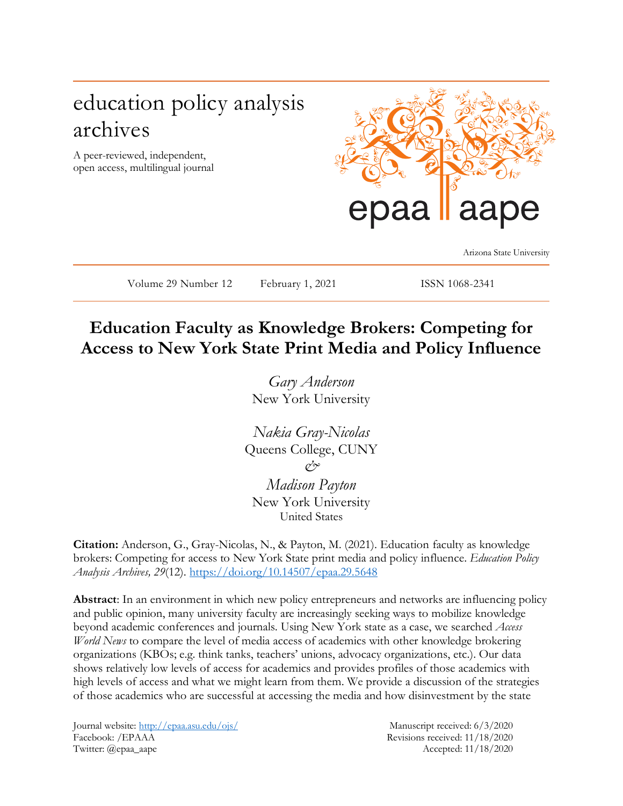# education policy analysis archives

A peer-reviewed, independent, open access, multilingual journal



Arizona State University

Volume 29 Number 12 February 1, 2021 ISSN 1068-2341

# **Education Faculty as Knowledge Brokers: Competing for Access to New York State Print Media and Policy Influence**

*Gary Anderson* New York University

*Nakia Gray-Nicolas* Queens College, CUNY *& Madison Payton*

New York University United States

**Citation:** Anderson, G., Gray-Nicolas, N., & Payton, M. (2021). Education faculty as knowledge brokers: Competing for access to New York State print media and policy influence. *Education Policy Analysis Archives, 29*(12). <https://doi.org/10.14507/epaa.29.5648>

**Abstract**: In an environment in which new policy entrepreneurs and networks are influencing policy and public opinion, many university faculty are increasingly seeking ways to mobilize knowledge beyond academic conferences and journals. Using New York state as a case, we searched *Access World News* to compare the level of media access of academics with other knowledge brokering organizations (KBOs; e.g. think tanks, teachers' unions, advocacy organizations, etc.). Our data shows relatively low levels of access for academics and provides profiles of those academics with high levels of access and what we might learn from them. We provide a discussion of the strategies of those academics who are successful at accessing the media and how disinvestment by the state

Journal website:<http://epaa.asu.edu/ojs/> Manuscript received: 6/3/2020 Facebook: /EPAAA Revisions received: 11/18/2020 Twitter: @epaa\_aape Accepted: 11/18/2020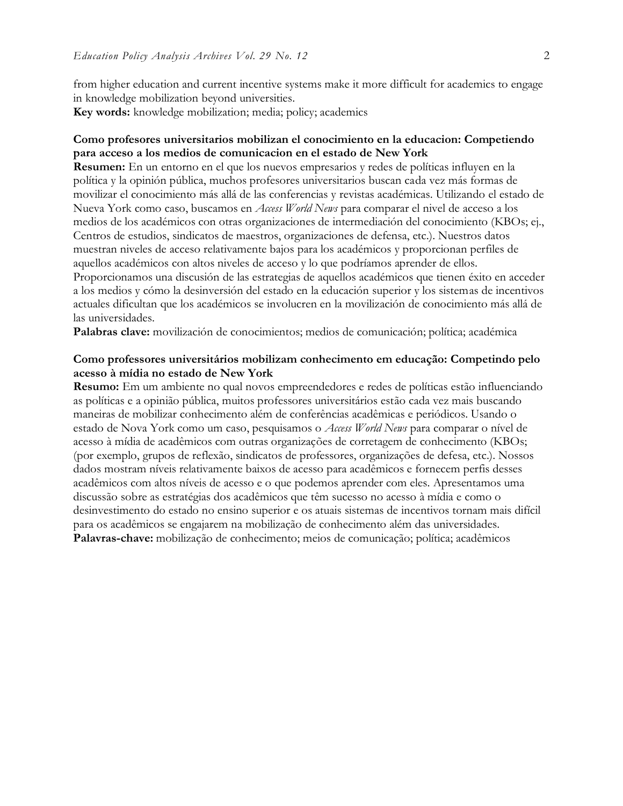from higher education and current incentive systems make it more difficult for academics to engage in knowledge mobilization beyond universities. **Key words:** knowledge mobilization; media; policy; academics

#### **Como profesores universitarios mobilizan el conocimiento en la educacion: Competiendo para acceso a los medios de comunicacion en el estado de New York**

**Resumen:** En un entorno en el que los nuevos empresarios y redes de políticas influyen en la política y la opinión pública, muchos profesores universitarios buscan cada vez más formas de movilizar el conocimiento más allá de las conferencias y revistas académicas. Utilizando el estado de Nueva York como caso, buscamos en *Access World News* para comparar el nivel de acceso a los medios de los académicos con otras organizaciones de intermediación del conocimiento (KBOs; ej., Centros de estudios, sindicatos de maestros, organizaciones de defensa, etc.). Nuestros datos muestran niveles de acceso relativamente bajos para los académicos y proporcionan perfiles de aquellos académicos con altos niveles de acceso y lo que podríamos aprender de ellos. Proporcionamos una discusión de las estrategias de aquellos académicos que tienen éxito en acceder a los medios y cómo la desinversión del estado en la educación superior y los sistemas de incentivos

actuales dificultan que los académicos se involucren en la movilización de conocimiento más allá de las universidades.

**Palabras clave:** movilización de conocimientos; medios de comunicación; política; académica

#### **Como professores universitários mobilizam conhecimento em educação: Competindo pelo acesso à mídia no estado de New York**

**Resumo:** Em um ambiente no qual novos empreendedores e redes de políticas estão influenciando as políticas e a opinião pública, muitos professores universitários estão cada vez mais buscando maneiras de mobilizar conhecimento além de conferências acadêmicas e periódicos. Usando o estado de Nova York como um caso, pesquisamos o *Access World News* para comparar o nível de acesso à mídia de acadêmicos com outras organizações de corretagem de conhecimento (KBOs; (por exemplo, grupos de reflexão, sindicatos de professores, organizações de defesa, etc.). Nossos dados mostram níveis relativamente baixos de acesso para acadêmicos e fornecem perfis desses acadêmicos com altos níveis de acesso e o que podemos aprender com eles. Apresentamos uma discussão sobre as estratégias dos acadêmicos que têm sucesso no acesso à mídia e como o desinvestimento do estado no ensino superior e os atuais sistemas de incentivos tornam mais difícil para os acadêmicos se engajarem na mobilização de conhecimento além das universidades. **Palavras-chave:** mobilização de conhecimento; meios de comunicação; política; acadêmicos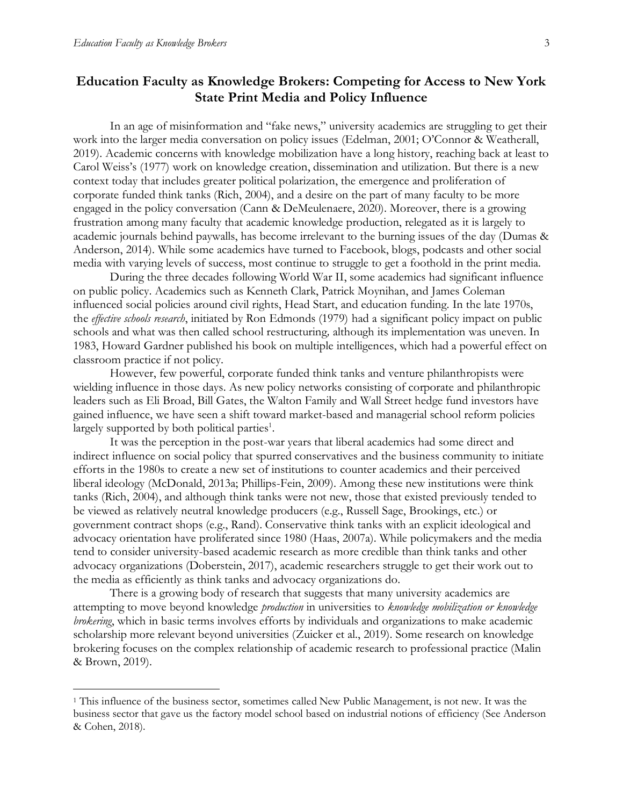$\overline{a}$ 

# **Education Faculty as Knowledge Brokers: Competing for Access to New York State Print Media and Policy Influence**

In an age of misinformation and "fake news," university academics are struggling to get their work into the larger media conversation on policy issues (Edelman, 2001; O'Connor & Weatherall, 2019). Academic concerns with knowledge mobilization have a long history, reaching back at least to Carol Weiss's (1977) work on knowledge creation, dissemination and utilization. But there is a new context today that includes greater political polarization, the emergence and proliferation of corporate funded think tanks (Rich, 2004), and a desire on the part of many faculty to be more engaged in the policy conversation (Cann & DeMeulenaere, 2020). Moreover, there is a growing frustration among many faculty that academic knowledge production, relegated as it is largely to academic journals behind paywalls, has become irrelevant to the burning issues of the day (Dumas & Anderson, 2014). While some academics have turned to Facebook, blogs, podcasts and other social media with varying levels of success, most continue to struggle to get a foothold in the print media.

During the three decades following World War II, some academics had significant influence on public policy. Academics such as Kenneth Clark, Patrick Moynihan, and James Coleman influenced social policies around civil rights, Head Start, and education funding. In the late 1970s, the *effective schools research*, initiated by Ron Edmonds (1979) had a significant policy impact on public schools and what was then called school restructuring*,* although its implementation was uneven. In 1983, Howard Gardner published his book on multiple intelligences, which had a powerful effect on classroom practice if not policy.

However, few powerful, corporate funded think tanks and venture philanthropists were wielding influence in those days. As new policy networks consisting of corporate and philanthropic leaders such as Eli Broad, Bill Gates, the Walton Family and Wall Street hedge fund investors have gained influence, we have seen a shift toward market-based and managerial school reform policies largely supported by both political parties<sup>1</sup>.

It was the perception in the post-war years that liberal academics had some direct and indirect influence on social policy that spurred conservatives and the business community to initiate efforts in the 1980s to create a new set of institutions to counter academics and their perceived liberal ideology (McDonald, 2013a; Phillips-Fein, 2009). Among these new institutions were think tanks (Rich, 2004), and although think tanks were not new, those that existed previously tended to be viewed as relatively neutral knowledge producers (e.g., Russell Sage, Brookings, etc.) or government contract shops (e.g., Rand). Conservative think tanks with an explicit ideological and advocacy orientation have proliferated since 1980 (Haas, 2007a). While policymakers and the media tend to consider university-based academic research as more credible than think tanks and other advocacy organizations (Doberstein, 2017), academic researchers struggle to get their work out to the media as efficiently as think tanks and advocacy organizations do.

There is a growing body of research that suggests that many university academics are attempting to move beyond knowledge *production* in universities to *knowledge mobilization or knowledge brokering*, which in basic terms involves efforts by individuals and organizations to make academic scholarship more relevant beyond universities (Zuicker et al., 2019). Some research on knowledge brokering focuses on the complex relationship of academic research to professional practice (Malin & Brown, 2019).

<sup>1</sup> This influence of the business sector, sometimes called New Public Management, is not new. It was the business sector that gave us the factory model school based on industrial notions of efficiency (See Anderson & Cohen, 2018).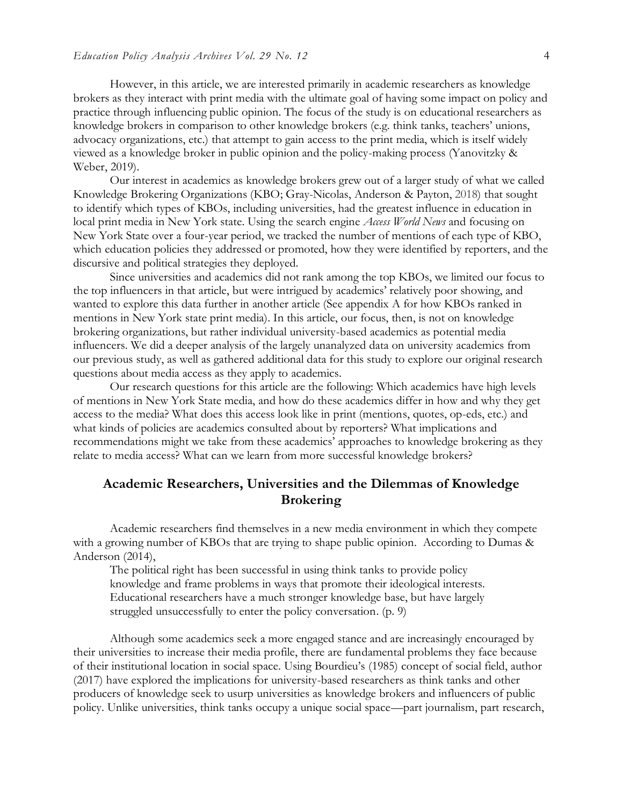However, in this article, we are interested primarily in academic researchers as knowledge brokers as they interact with print media with the ultimate goal of having some impact on policy and practice through influencing public opinion. The focus of the study is on educational researchers as knowledge brokers in comparison to other knowledge brokers (e.g. think tanks, teachers' unions, advocacy organizations, etc.) that attempt to gain access to the print media, which is itself widely viewed as a knowledge broker in public opinion and the policy-making process (Yanovitzky & Weber, 2019).

Our interest in academics as knowledge brokers grew out of a larger study of what we called Knowledge Brokering Organizations (KBO; Gray-Nicolas, Anderson & Payton, 2018) that sought to identify which types of KBOs, including universities, had the greatest influence in education in local print media in New York state. Using the search engine *Access World News* and focusing on New York State over a four-year period, we tracked the number of mentions of each type of KBO, which education policies they addressed or promoted, how they were identified by reporters, and the discursive and political strategies they deployed.

Since universities and academics did not rank among the top KBOs, we limited our focus to the top influencers in that article, but were intrigued by academics' relatively poor showing, and wanted to explore this data further in another article (See appendix A for how KBOs ranked in mentions in New York state print media). In this article, our focus, then, is not on knowledge brokering organizations, but rather individual university-based academics as potential media influencers. We did a deeper analysis of the largely unanalyzed data on university academics from our previous study, as well as gathered additional data for this study to explore our original research questions about media access as they apply to academics.

Our research questions for this article are the following: Which academics have high levels of mentions in New York State media, and how do these academics differ in how and why they get access to the media? What does this access look like in print (mentions, quotes, op-eds, etc.) and what kinds of policies are academics consulted about by reporters? What implications and recommendations might we take from these academics' approaches to knowledge brokering as they relate to media access? What can we learn from more successful knowledge brokers?

### **Academic Researchers, Universities and the Dilemmas of Knowledge Brokering**

Academic researchers find themselves in a new media environment in which they compete with a growing number of KBOs that are trying to shape public opinion. According to Dumas & Anderson (2014),

The political right has been successful in using think tanks to provide policy knowledge and frame problems in ways that promote their ideological interests. Educational researchers have a much stronger knowledge base, but have largely struggled unsuccessfully to enter the policy conversation. (p. 9)

Although some academics seek a more engaged stance and are increasingly encouraged by their universities to increase their media profile, there are fundamental problems they face because of their institutional location in social space. Using Bourdieu's (1985) concept of social field, author (2017) have explored the implications for university-based researchers as think tanks and other producers of knowledge seek to usurp universities as knowledge brokers and influencers of public policy. Unlike universities, think tanks occupy a unique social space—part journalism, part research,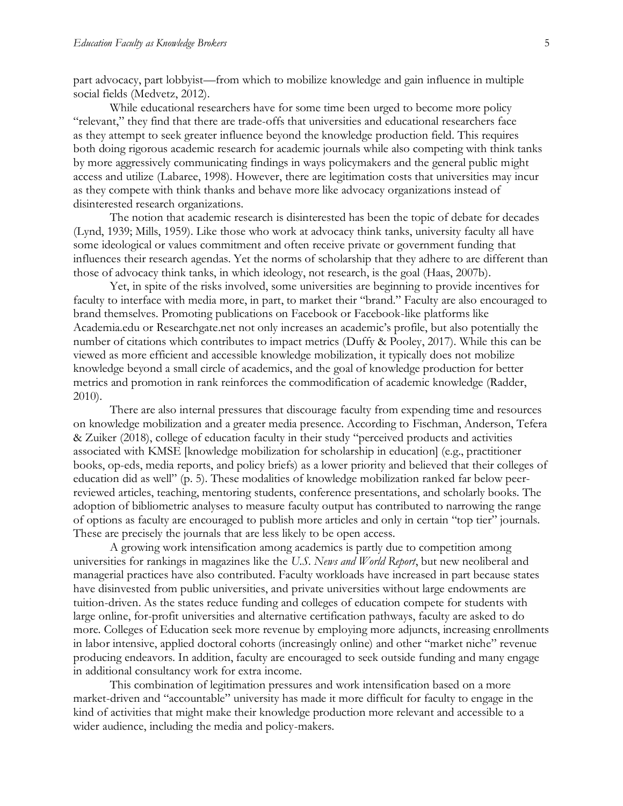part advocacy, part lobbyist—from which to mobilize knowledge and gain influence in multiple social fields (Medvetz, 2012).

While educational researchers have for some time been urged to become more policy "relevant," they find that there are trade-offs that universities and educational researchers face as they attempt to seek greater influence beyond the knowledge production field. This requires both doing rigorous academic research for academic journals while also competing with think tanks by more aggressively communicating findings in ways policymakers and the general public might access and utilize (Labaree, 1998). However, there are legitimation costs that universities may incur as they compete with think thanks and behave more like advocacy organizations instead of disinterested research organizations.

The notion that academic research is disinterested has been the topic of debate for decades (Lynd, 1939; Mills, 1959). Like those who work at advocacy think tanks, university faculty all have some ideological or values commitment and often receive private or government funding that influences their research agendas. Yet the norms of scholarship that they adhere to are different than those of advocacy think tanks, in which ideology, not research, is the goal (Haas, 2007b).

Yet, in spite of the risks involved, some universities are beginning to provide incentives for faculty to interface with media more, in part, to market their "brand." Faculty are also encouraged to brand themselves. Promoting publications on Facebook or Facebook-like platforms like Academia.edu or Researchgate.net not only increases an academic's profile, but also potentially the number of citations which contributes to impact metrics (Duffy & Pooley, 2017). While this can be viewed as more efficient and accessible knowledge mobilization, it typically does not mobilize knowledge beyond a small circle of academics, and the goal of knowledge production for better metrics and promotion in rank reinforces the commodification of academic knowledge (Radder, 2010).

There are also internal pressures that discourage faculty from expending time and resources on knowledge mobilization and a greater media presence. According to Fischman, Anderson, Tefera & Zuiker (2018), college of education faculty in their study "perceived products and activities associated with KMSE [knowledge mobilization for scholarship in education] (e.g., practitioner books, op-eds, media reports, and policy briefs) as a lower priority and believed that their colleges of education did as well" (p. 5). These modalities of knowledge mobilization ranked far below peerreviewed articles, teaching, mentoring students, conference presentations, and scholarly books. The adoption of bibliometric analyses to measure faculty output has contributed to narrowing the range of options as faculty are encouraged to publish more articles and only in certain "top tier" journals. These are precisely the journals that are less likely to be open access.

A growing work intensification among academics is partly due to competition among universities for rankings in magazines like the *U.S. News and World Report*, but new neoliberal and managerial practices have also contributed. Faculty workloads have increased in part because states have disinvested from public universities, and private universities without large endowments are tuition-driven. As the states reduce funding and colleges of education compete for students with large online, for-profit universities and alternative certification pathways, faculty are asked to do more. Colleges of Education seek more revenue by employing more adjuncts, increasing enrollments in labor intensive, applied doctoral cohorts (increasingly online) and other "market niche" revenue producing endeavors. In addition, faculty are encouraged to seek outside funding and many engage in additional consultancy work for extra income.

This combination of legitimation pressures and work intensification based on a more market-driven and "accountable" university has made it more difficult for faculty to engage in the kind of activities that might make their knowledge production more relevant and accessible to a wider audience, including the media and policy-makers.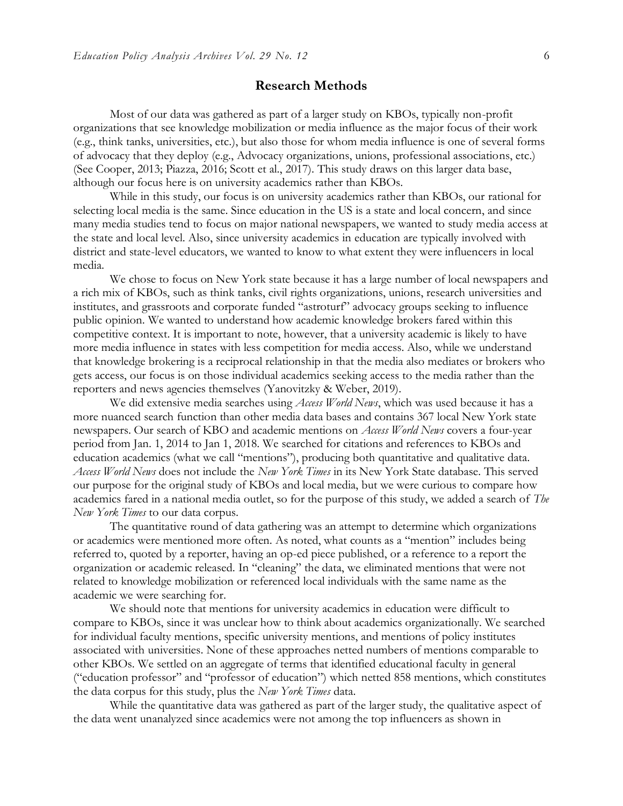#### **Research Methods**

Most of our data was gathered as part of a larger study on KBOs, typically non-profit organizations that see knowledge mobilization or media influence as the major focus of their work (e.g., think tanks, universities, etc.), but also those for whom media influence is one of several forms of advocacy that they deploy (e.g., Advocacy organizations, unions, professional associations, etc.) (See Cooper, 2013; Piazza, 2016; Scott et al., 2017). This study draws on this larger data base, although our focus here is on university academics rather than KBOs.

While in this study, our focus is on university academics rather than KBOs, our rational for selecting local media is the same. Since education in the US is a state and local concern, and since many media studies tend to focus on major national newspapers, we wanted to study media access at the state and local level. Also, since university academics in education are typically involved with district and state-level educators, we wanted to know to what extent they were influencers in local media.

We chose to focus on New York state because it has a large number of local newspapers and a rich mix of KBOs, such as think tanks, civil rights organizations, unions, research universities and institutes, and grassroots and corporate funded "astroturf" advocacy groups seeking to influence public opinion. We wanted to understand how academic knowledge brokers fared within this competitive context. It is important to note, however, that a university academic is likely to have more media influence in states with less competition for media access. Also, while we understand that knowledge brokering is a reciprocal relationship in that the media also mediates or brokers who gets access, our focus is on those individual academics seeking access to the media rather than the reporters and news agencies themselves (Yanovitzky & Weber, 2019).

We did extensive media searches using *Access World News*, which was used because it has a more nuanced search function than other media data bases and contains 367 local New York state newspapers. Our search of KBO and academic mentions on *Access World News* covers a four-year period from Jan. 1, 2014 to Jan 1, 2018. We searched for citations and references to KBOs and education academics (what we call "mentions"), producing both quantitative and qualitative data. *Access World News* does not include the *New York Times* in its New York State database. This served our purpose for the original study of KBOs and local media, but we were curious to compare how academics fared in a national media outlet, so for the purpose of this study, we added a search of *The New York Times* to our data corpus.

The quantitative round of data gathering was an attempt to determine which organizations or academics were mentioned more often. As noted, what counts as a "mention" includes being referred to, quoted by a reporter, having an op-ed piece published, or a reference to a report the organization or academic released. In "cleaning" the data, we eliminated mentions that were not related to knowledge mobilization or referenced local individuals with the same name as the academic we were searching for.

We should note that mentions for university academics in education were difficult to compare to KBOs, since it was unclear how to think about academics organizationally. We searched for individual faculty mentions, specific university mentions, and mentions of policy institutes associated with universities. None of these approaches netted numbers of mentions comparable to other KBOs. We settled on an aggregate of terms that identified educational faculty in general ("education professor" and "professor of education") which netted 858 mentions, which constitutes the data corpus for this study, plus the *New York Times* data.

While the quantitative data was gathered as part of the larger study, the qualitative aspect of the data went unanalyzed since academics were not among the top influencers as shown in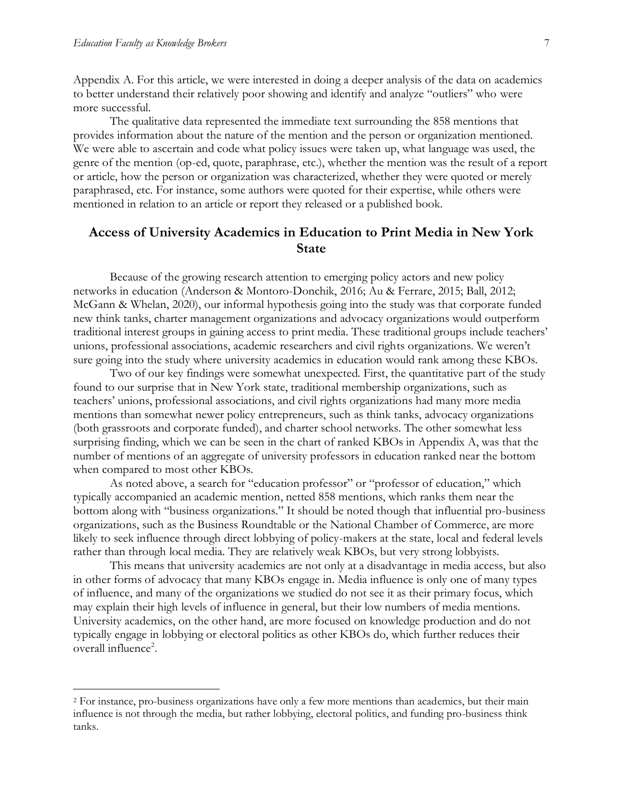$\overline{a}$ 

Appendix A. For this article, we were interested in doing a deeper analysis of the data on academics to better understand their relatively poor showing and identify and analyze "outliers" who were more successful.

The qualitative data represented the immediate text surrounding the 858 mentions that provides information about the nature of the mention and the person or organization mentioned. We were able to ascertain and code what policy issues were taken up, what language was used, the genre of the mention (op-ed, quote, paraphrase, etc.), whether the mention was the result of a report or article, how the person or organization was characterized, whether they were quoted or merely paraphrased, etc. For instance, some authors were quoted for their expertise, while others were mentioned in relation to an article or report they released or a published book.

## **Access of University Academics in Education to Print Media in New York State**

Because of the growing research attention to emerging policy actors and new policy networks in education (Anderson & Montoro-Donchik, 2016; Au & Ferrare, 2015; Ball, 2012; McGann & Whelan, 2020), our informal hypothesis going into the study was that corporate funded new think tanks, charter management organizations and advocacy organizations would outperform traditional interest groups in gaining access to print media. These traditional groups include teachers' unions, professional associations, academic researchers and civil rights organizations. We weren't sure going into the study where university academics in education would rank among these KBOs.

Two of our key findings were somewhat unexpected. First, the quantitative part of the study found to our surprise that in New York state, traditional membership organizations, such as teachers' unions, professional associations, and civil rights organizations had many more media mentions than somewhat newer policy entrepreneurs, such as think tanks, advocacy organizations (both grassroots and corporate funded), and charter school networks. The other somewhat less surprising finding, which we can be seen in the chart of ranked KBOs in Appendix A, was that the number of mentions of an aggregate of university professors in education ranked near the bottom when compared to most other KBOs.

As noted above, a search for "education professor" or "professor of education," which typically accompanied an academic mention, netted 858 mentions, which ranks them near the bottom along with "business organizations." It should be noted though that influential pro-business organizations, such as the Business Roundtable or the National Chamber of Commerce, are more likely to seek influence through direct lobbying of policy-makers at the state, local and federal levels rather than through local media. They are relatively weak KBOs, but very strong lobbyists.

This means that university academics are not only at a disadvantage in media access, but also in other forms of advocacy that many KBOs engage in. Media influence is only one of many types of influence, and many of the organizations we studied do not see it as their primary focus, which may explain their high levels of influence in general, but their low numbers of media mentions. University academics, on the other hand, are more focused on knowledge production and do not typically engage in lobbying or electoral politics as other KBOs do, which further reduces their overall influence<sup>2</sup>.

<sup>2</sup> For instance, pro-business organizations have only a few more mentions than academics, but their main influence is not through the media, but rather lobbying, electoral politics, and funding pro-business think tanks.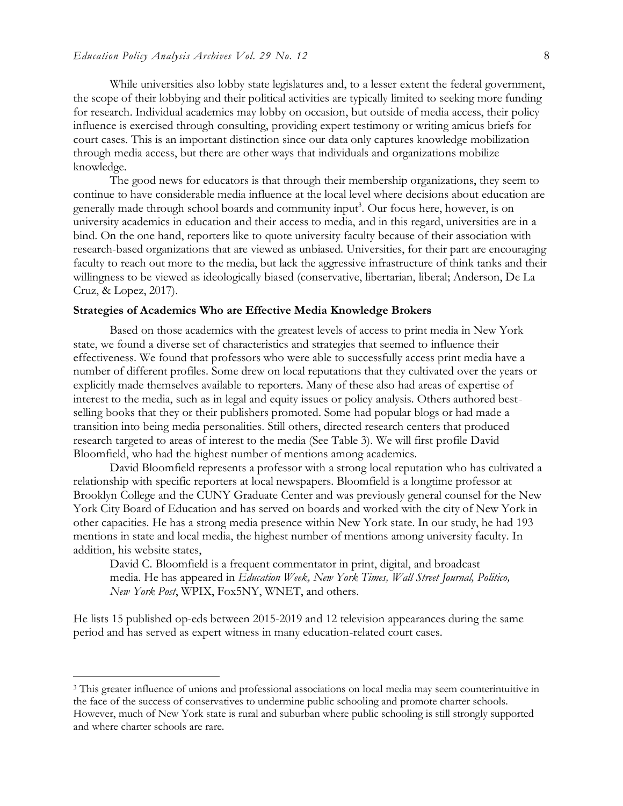While universities also lobby state legislatures and, to a lesser extent the federal government, the scope of their lobbying and their political activities are typically limited to seeking more funding for research. Individual academics may lobby on occasion, but outside of media access, their policy influence is exercised through consulting, providing expert testimony or writing amicus briefs for court cases. This is an important distinction since our data only captures knowledge mobilization through media access, but there are other ways that individuals and organizations mobilize knowledge.

The good news for educators is that through their membership organizations, they seem to continue to have considerable media influence at the local level where decisions about education are generally made through school boards and community input<sup>3</sup>. Our focus here, however, is on university academics in education and their access to media, and in this regard, universities are in a bind. On the one hand, reporters like to quote university faculty because of their association with research-based organizations that are viewed as unbiased. Universities, for their part are encouraging faculty to reach out more to the media, but lack the aggressive infrastructure of think tanks and their willingness to be viewed as ideologically biased (conservative, libertarian, liberal; Anderson, De La Cruz, & Lopez, 2017).

#### **Strategies of Academics Who are Effective Media Knowledge Brokers**

Based on those academics with the greatest levels of access to print media in New York state, we found a diverse set of characteristics and strategies that seemed to influence their effectiveness. We found that professors who were able to successfully access print media have a number of different profiles. Some drew on local reputations that they cultivated over the years or explicitly made themselves available to reporters. Many of these also had areas of expertise of interest to the media, such as in legal and equity issues or policy analysis. Others authored bestselling books that they or their publishers promoted. Some had popular blogs or had made a transition into being media personalities. Still others, directed research centers that produced research targeted to areas of interest to the media (See Table 3). We will first profile David Bloomfield, who had the highest number of mentions among academics.

David Bloomfield represents a professor with a strong local reputation who has cultivated a relationship with specific reporters at local newspapers. Bloomfield is a longtime professor at Brooklyn College and the CUNY Graduate Center and was previously general counsel for the New York City Board of Education and has served on boards and worked with the city of New York in other capacities. He has a strong media presence within New York state. In our study, he had 193 mentions in state and local media, the highest number of mentions among university faculty. In addition, his website states,

David C. Bloomfield is a frequent commentator in print, digital, and broadcast media. He has appeared in *Education Week, New York Times, Wall Street Journal, Politico, New York Post*, WPIX, Fox5NY, WNET, and others.

He lists 15 published op-eds between 2015-2019 and 12 television appearances during the same period and has served as expert witness in many education-related court cases.

 $\overline{a}$ 

<sup>&</sup>lt;sup>3</sup> This greater influence of unions and professional associations on local media may seem counterintuitive in the face of the success of conservatives to undermine public schooling and promote charter schools. However, much of New York state is rural and suburban where public schooling is still strongly supported and where charter schools are rare.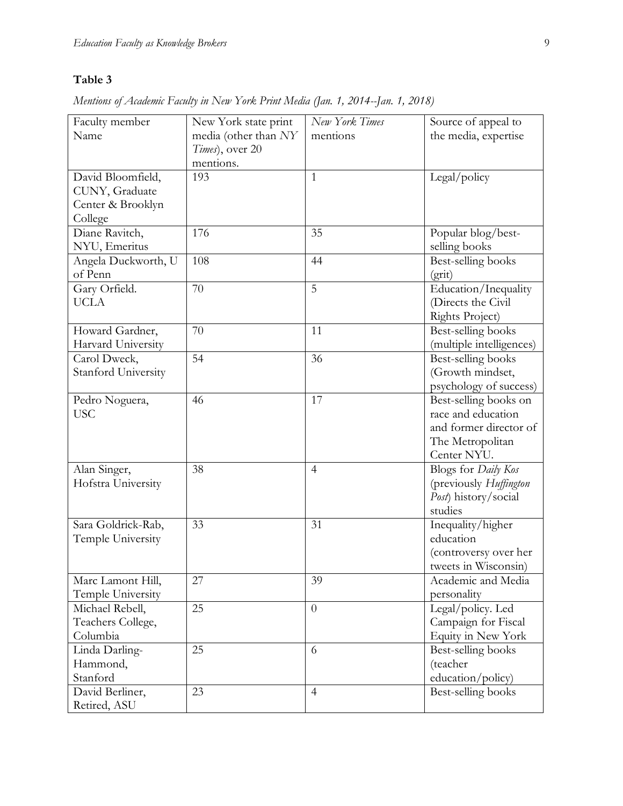# **Table 3**

| Faculty member      | New York state print | New York Times | Source of appeal to        |
|---------------------|----------------------|----------------|----------------------------|
| Name                | media (other than NY | mentions       | the media, expertise       |
|                     | Times), over 20      |                |                            |
|                     | mentions.            |                |                            |
| David Bloomfield,   | 193                  | 1              | Legal/policy               |
| CUNY, Graduate      |                      |                |                            |
| Center & Brooklyn   |                      |                |                            |
| College             |                      |                |                            |
| Diane Ravitch,      | 176                  | 35             | Popular blog/best-         |
| NYU, Emeritus       |                      |                | selling books              |
| Angela Duckworth, U | 108                  | 44             | Best-selling books         |
| of Penn             |                      |                | (grit)                     |
| Gary Orfield.       | 70                   | 5              | Education/Inequality       |
| <b>UCLA</b>         |                      |                | (Directs the Civil         |
|                     |                      |                | Rights Project)            |
| Howard Gardner,     | 70                   | 11             | Best-selling books         |
| Harvard University  |                      |                | (multiple intelligences)   |
| Carol Dweck,        | 54                   | 36             | Best-selling books         |
| Stanford University |                      |                | (Growth mindset,           |
|                     |                      |                | psychology of success)     |
| Pedro Noguera,      | 46                   | 17             | Best-selling books on      |
| <b>USC</b>          |                      |                | race and education         |
|                     |                      |                | and former director of     |
|                     |                      |                | The Metropolitan           |
|                     |                      |                | Center NYU.                |
| Alan Singer,        | 38                   | $\overline{4}$ | Blogs for <i>Daily Kos</i> |
| Hofstra University  |                      |                | (previously Huffington     |
|                     |                      |                | Post) history/social       |
|                     |                      |                | studies                    |
| Sara Goldrick-Rab,  | 33                   | 31             | Inequality/higher          |
| Temple University   |                      |                | education                  |
|                     |                      |                | (controversy over her      |
|                     |                      |                | tweets in Wisconsin)       |
| Marc Lamont Hill,   | 27                   | 39             | Academic and Media         |
| Temple University   |                      |                | personality                |
| Michael Rebell,     | 25                   | $\overline{0}$ | Legal/policy. Led          |
| Teachers College,   |                      |                | Campaign for Fiscal        |
| Columbia            |                      |                | Equity in New York         |
| Linda Darling-      | 25                   | 6              | Best-selling books         |
| Hammond,            |                      |                | (teacher                   |
| Stanford            |                      |                | education/policy)          |
| David Berliner,     | 23                   | $\overline{4}$ | Best-selling books         |
| Retired, ASU        |                      |                |                            |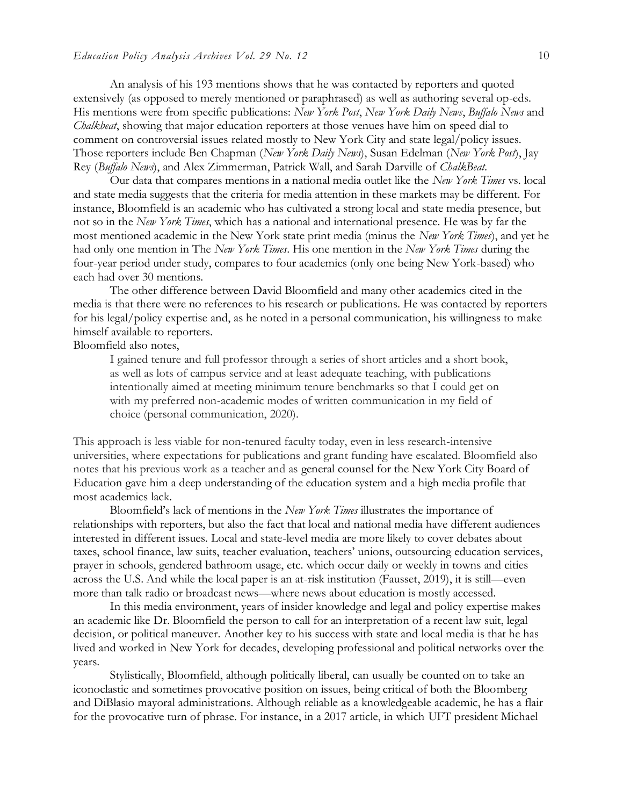An analysis of his 193 mentions shows that he was contacted by reporters and quoted extensively (as opposed to merely mentioned or paraphrased) as well as authoring several op-eds. His mentions were from specific publications: *New York Post*, *New York Daily News*, *Buffalo News* and *Chalkbeat*, showing that major education reporters at those venues have him on speed dial to comment on controversial issues related mostly to New York City and state legal/policy issues. Those reporters include Ben Chapman (*New York Daily News*), Susan Edelman (*New York Post*), Jay Rey (*Buffalo News*), and Alex Zimmerman, Patrick Wall, and Sarah Darville of *ChalkBeat.*

Our data that compares mentions in a national media outlet like the *New York Times* vs. local and state media suggests that the criteria for media attention in these markets may be different. For instance, Bloomfield is an academic who has cultivated a strong local and state media presence, but not so in the *New York Times*, which has a national and international presence. He was by far the most mentioned academic in the New York state print media (minus the *New York Times*), and yet he had only one mention in The *New York Times*. His one mention in the *New York Times* during the four-year period under study, compares to four academics (only one being New York-based) who each had over 30 mentions.

The other difference between David Bloomfield and many other academics cited in the media is that there were no references to his research or publications. He was contacted by reporters for his legal/policy expertise and, as he noted in a personal communication, his willingness to make himself available to reporters.

Bloomfield also notes,

I gained tenure and full professor through a series of short articles and a short book, as well as lots of campus service and at least adequate teaching, with publications intentionally aimed at meeting minimum tenure benchmarks so that I could get on with my preferred non-academic modes of written communication in my field of choice (personal communication, 2020).

This approach is less viable for non-tenured faculty today, even in less research-intensive universities, where expectations for publications and grant funding have escalated. Bloomfield also notes that his previous work as a teacher and as general counsel for the New York City Board of Education gave him a deep understanding of the education system and a high media profile that most academics lack.

Bloomfield's lack of mentions in the *New York Times* illustrates the importance of relationships with reporters, but also the fact that local and national media have different audiences interested in different issues. Local and state-level media are more likely to cover debates about taxes, school finance, law suits, teacher evaluation, teachers' unions, outsourcing education services, prayer in schools, gendered bathroom usage, etc. which occur daily or weekly in towns and cities across the U.S. And while the local paper is an at-risk institution (Fausset, 2019), it is still—even more than talk radio or broadcast news—where news about education is mostly accessed.

In this media environment, years of insider knowledge and legal and policy expertise makes an academic like Dr. Bloomfield the person to call for an interpretation of a recent law suit, legal decision, or political maneuver. Another key to his success with state and local media is that he has lived and worked in New York for decades, developing professional and political networks over the years.

Stylistically, Bloomfield, although politically liberal, can usually be counted on to take an iconoclastic and sometimes provocative position on issues, being critical of both the Bloomberg and DiBlasio mayoral administrations. Although reliable as a knowledgeable academic, he has a flair for the provocative turn of phrase. For instance, in a 2017 article, in which UFT president Michael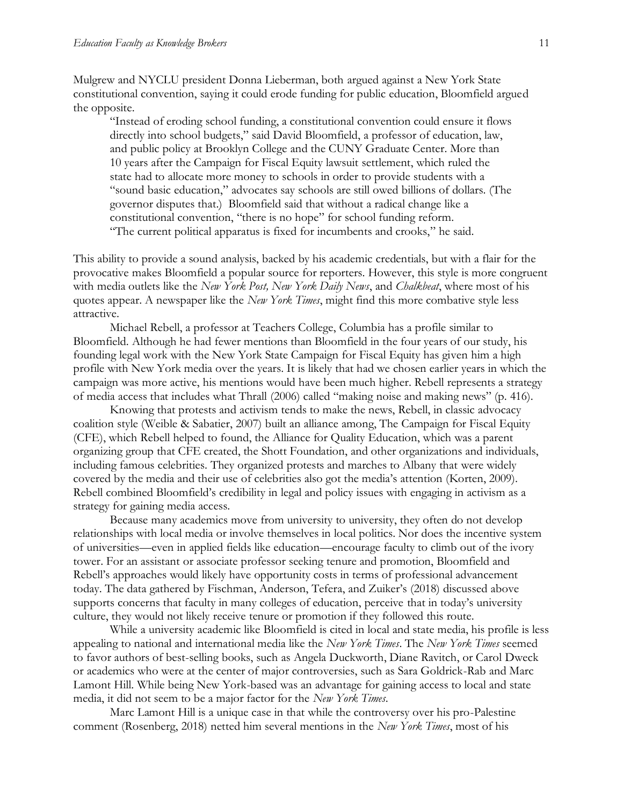Mulgrew and NYCLU president Donna Lieberman, both argued against a New York State constitutional convention, saying it could erode funding for public education, Bloomfield argued the opposite.

"Instead of eroding school funding, a constitutional convention could ensure it flows directly into school budgets," said David Bloomfield, a professor of education, law, and public policy at Brooklyn College and the CUNY Graduate Center. More than 10 years after the Campaign for Fiscal Equity lawsuit settlement, which ruled the state had to allocate more money to schools in order to provide students with a "sound basic education," advocates say schools are still owed billions of dollars. (The governor disputes that.) Bloomfield said that without a radical change like a constitutional convention, "there is no hope" for school funding reform. "The current political apparatus is fixed for incumbents and crooks," he said.

This ability to provide a sound analysis, backed by his academic credentials, but with a flair for the provocative makes Bloomfield a popular source for reporters. However, this style is more congruent with media outlets like the *New York Post, New York Daily News*, and *Chalkbeat*, where most of his quotes appear. A newspaper like the *New York Times*, might find this more combative style less attractive.

Michael Rebell, a professor at Teachers College, Columbia has a profile similar to Bloomfield. Although he had fewer mentions than Bloomfield in the four years of our study, his founding legal work with the New York State Campaign for Fiscal Equity has given him a high profile with New York media over the years. It is likely that had we chosen earlier years in which the campaign was more active, his mentions would have been much higher. Rebell represents a strategy of media access that includes what Thrall (2006) called "making noise and making news" (p. 416).

Knowing that protests and activism tends to make the news, Rebell, in classic advocacy coalition style (Weible & Sabatier, 2007) built an alliance among, The Campaign for Fiscal Equity (CFE), which Rebell helped to found, the Alliance for Quality Education, which was a parent organizing group that CFE created, the Shott Foundation, and other organizations and individuals, including famous celebrities. They organized protests and marches to Albany that were widely covered by the media and their use of celebrities also got the media's attention (Korten, 2009). Rebell combined Bloomfield's credibility in legal and policy issues with engaging in activism as a strategy for gaining media access.

Because many academics move from university to university, they often do not develop relationships with local media or involve themselves in local politics. Nor does the incentive system of universities—even in applied fields like education—encourage faculty to climb out of the ivory tower. For an assistant or associate professor seeking tenure and promotion, Bloomfield and Rebell's approaches would likely have opportunity costs in terms of professional advancement today. The data gathered by Fischman, Anderson, Tefera, and Zuiker's (2018) discussed above supports concerns that faculty in many colleges of education, perceive that in today's university culture, they would not likely receive tenure or promotion if they followed this route.

While a university academic like Bloomfield is cited in local and state media, his profile is less appealing to national and international media like the *New York Times*. The *New York Times* seemed to favor authors of best-selling books, such as Angela Duckworth, Diane Ravitch, or Carol Dweck or academics who were at the center of major controversies, such as Sara Goldrick-Rab and Marc Lamont Hill. While being New York-based was an advantage for gaining access to local and state media, it did not seem to be a major factor for the *New York Times*.

Marc Lamont Hill is a unique case in that while the controversy over his pro-Palestine comment (Rosenberg, 2018) netted him several mentions in the *New York Times*, most of his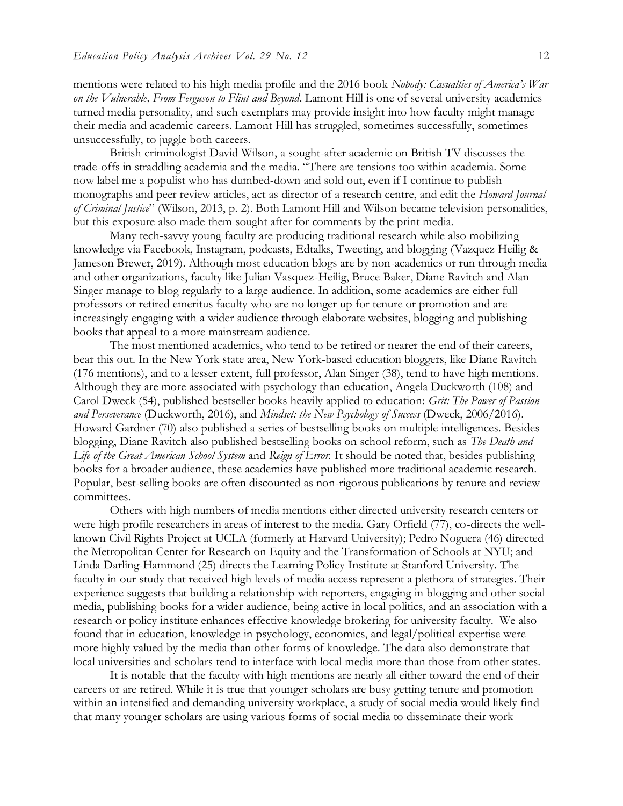mentions were related to his high media profile and the 2016 book *Nobody: Casualties of America's War on the Vulnerable, From Ferguson to Flint and Beyond*. Lamont Hill is one of several university academics turned media personality, and such exemplars may provide insight into how faculty might manage their media and academic careers. Lamont Hill has struggled, sometimes successfully, sometimes unsuccessfully, to juggle both careers.

British criminologist David Wilson, a sought-after academic on British TV discusses the trade-offs in straddling academia and the media. "There are tensions too within academia. Some now label me a populist who has dumbed-down and sold out, even if I continue to publish monographs and peer review articles, act as [director of a research centre,](http://www.bcu.ac.uk/research/-centres-of-excellence/centre-for-applied-criminology) and edit the *Howard Journal of Criminal Justice*" (Wilson, 2013, p. 2). Both Lamont Hill and Wilson became television personalities, but this exposure also made them sought after for comments by the print media.

Many tech-savvy young faculty are producing traditional research while also mobilizing knowledge via Facebook, Instagram, podcasts, Edtalks, Tweeting, and blogging (Vazquez Heilig & Jameson Brewer, 2019). Although most education blogs are by non-academics or run through media and other organizations, faculty like Julian Vasquez-Heilig, Bruce Baker, Diane Ravitch and Alan Singer manage to blog regularly to a large audience. In addition, some academics are either full professors or retired emeritus faculty who are no longer up for tenure or promotion and are increasingly engaging with a wider audience through elaborate websites, blogging and publishing books that appeal to a more mainstream audience.

The most mentioned academics, who tend to be retired or nearer the end of their careers, bear this out. In the New York state area, New York-based education bloggers, like Diane Ravitch (176 mentions), and to a lesser extent, full professor, Alan Singer (38), tend to have high mentions. Although they are more associated with psychology than education, Angela Duckworth (108) and Carol Dweck (54), published bestseller books heavily applied to education: *Grit: The Power of Passion and Perseverance* (Duckworth, 2016), and *Mindset: the New Psychology of Success* (Dweck, 2006/2016). Howard Gardner (70) also published a series of bestselling books on multiple intelligences. Besides blogging, Diane Ravitch also published bestselling books on school reform, such as *The Death and Life of the Great American School System* and *Reign of Error.* It should be noted that, besides publishing books for a broader audience, these academics have published more traditional academic research. Popular, best-selling books are often discounted as non-rigorous publications by tenure and review committees.

Others with high numbers of media mentions either directed university research centers or were high profile researchers in areas of interest to the media. Gary Orfield (77), co-directs the wellknown Civil Rights Project at UCLA (formerly at Harvard University); Pedro Noguera (46) directed the Metropolitan Center for Research on Equity and the Transformation of Schools at NYU; and Linda Darling-Hammond (25) directs the Learning Policy Institute at Stanford University. The faculty in our study that received high levels of media access represent a plethora of strategies. Their experience suggests that building a relationship with reporters, engaging in blogging and other social media, publishing books for a wider audience, being active in local politics, and an association with a research or policy institute enhances effective knowledge brokering for university faculty. We also found that in education, knowledge in psychology, economics, and legal/political expertise were more highly valued by the media than other forms of knowledge. The data also demonstrate that local universities and scholars tend to interface with local media more than those from other states.

It is notable that the faculty with high mentions are nearly all either toward the end of their careers or are retired. While it is true that younger scholars are busy getting tenure and promotion within an intensified and demanding university workplace, a study of social media would likely find that many younger scholars are using various forms of social media to disseminate their work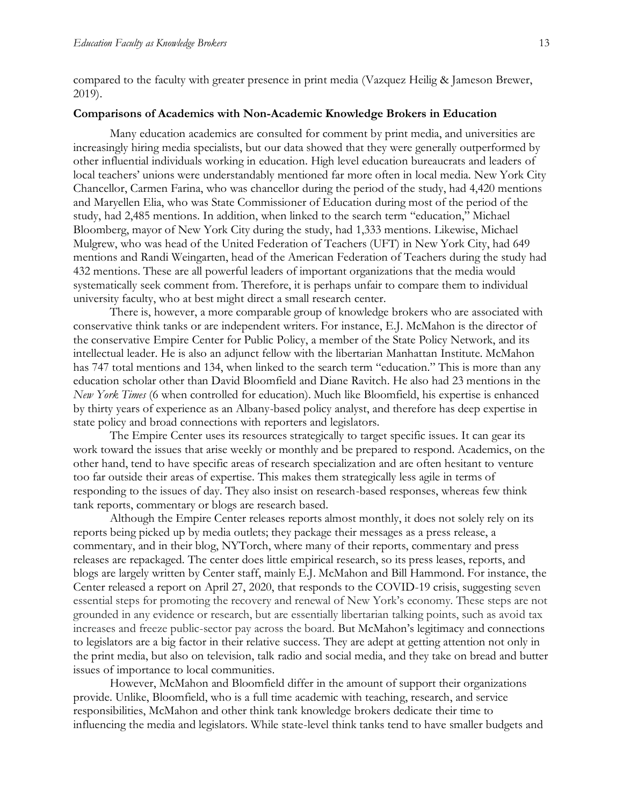compared to the faculty with greater presence in print media (Vazquez Heilig & Jameson Brewer, 2019).

#### **Comparisons of Academics with Non-Academic Knowledge Brokers in Education**

Many education academics are consulted for comment by print media, and universities are increasingly hiring media specialists, but our data showed that they were generally outperformed by other influential individuals working in education. High level education bureaucrats and leaders of local teachers' unions were understandably mentioned far more often in local media. New York City Chancellor, Carmen Farina, who was chancellor during the period of the study, had 4,420 mentions and Maryellen Elia, who was State Commissioner of Education during most of the period of the study, had 2,485 mentions. In addition, when linked to the search term "education," Michael Bloomberg, mayor of New York City during the study, had 1,333 mentions. Likewise, Michael Mulgrew, who was head of the United Federation of Teachers (UFT) in New York City, had 649 mentions and Randi Weingarten, head of the American Federation of Teachers during the study had 432 mentions. These are all powerful leaders of important organizations that the media would systematically seek comment from. Therefore, it is perhaps unfair to compare them to individual university faculty, who at best might direct a small research center.

There is, however, a more comparable group of knowledge brokers who are associated with conservative think tanks or are independent writers. For instance, E.J. McMahon is the director of the conservative Empire Center for Public Policy, a member of the State Policy Network, and its intellectual leader. He is also an adjunct fellow with the libertarian Manhattan Institute. McMahon has 747 total mentions and 134, when linked to the search term "education." This is more than any education scholar other than David Bloomfield and Diane Ravitch. He also had 23 mentions in the *New York Times* (6 when controlled for education). Much like Bloomfield, his expertise is enhanced by thirty years of experience as an Albany-based policy analyst, and therefore has deep expertise in state policy and broad connections with reporters and legislators.

The Empire Center uses its resources strategically to target specific issues. It can gear its work toward the issues that arise weekly or monthly and be prepared to respond. Academics, on the other hand, tend to have specific areas of research specialization and are often hesitant to venture too far outside their areas of expertise. This makes them strategically less agile in terms of responding to the issues of day. They also insist on research-based responses, whereas few think tank reports, commentary or blogs are research based.

Although the Empire Center releases reports almost monthly, it does not solely rely on its reports being picked up by media outlets; they package their messages as a press release, a commentary, and in their blog, NYTorch, where many of their reports, commentary and press releases are repackaged. The center does little empirical research, so its press leases, reports, and blogs are largely written by Center staff, mainly E.J. McMahon and Bill Hammond. For instance, the Center released a report on April 27, 2020, that responds to the COVID-19 crisis, suggesting seven essential steps for promoting the recovery and renewal of New York's economy. These steps are not grounded in any evidence or research, but are essentially libertarian talking points, such as avoid tax increases and freeze public-sector pay across the board. But McMahon's legitimacy and connections to legislators are a big factor in their relative success. They are adept at getting attention not only in the print media, but also on television, talk radio and social media, and they take on bread and butter issues of importance to local communities.

However, McMahon and Bloomfield differ in the amount of support their organizations provide. Unlike, Bloomfield, who is a full time academic with teaching, research, and service responsibilities, McMahon and other think tank knowledge brokers dedicate their time to influencing the media and legislators. While state-level think tanks tend to have smaller budgets and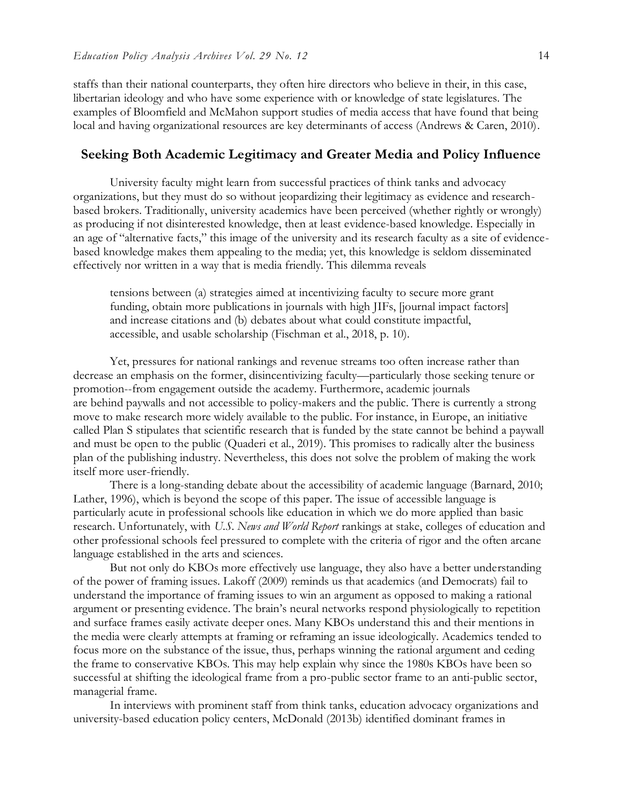staffs than their national counterparts, they often hire directors who believe in their, in this case, libertarian ideology and who have some experience with or knowledge of state legislatures. The examples of Bloomfield and McMahon support studies of media access that have found that being local and having organizational resources are key determinants of access (Andrews & Caren, 2010).

#### **Seeking Both Academic Legitimacy and Greater Media and Policy Influence**

University faculty might learn from successful practices of think tanks and advocacy organizations, but they must do so without jeopardizing their legitimacy as evidence and researchbased brokers. Traditionally, university academics have been perceived (whether rightly or wrongly) as producing if not disinterested knowledge, then at least evidence-based knowledge. Especially in an age of "alternative facts," this image of the university and its research faculty as a site of evidencebased knowledge makes them appealing to the media; yet, this knowledge is seldom disseminated effectively nor written in a way that is media friendly. This dilemma reveals

tensions between (a) strategies aimed at incentivizing faculty to secure more grant funding, obtain more publications in journals with high JIFs, [journal impact factors] and increase citations and (b) debates about what could constitute impactful, accessible, and usable scholarship (Fischman et al., 2018, p. 10).

Yet, pressures for national rankings and revenue streams too often increase rather than decrease an emphasis on the former, disincentivizing faculty—particularly those seeking tenure or promotion--from engagement outside the academy. Furthermore, academic journals are behind paywalls and not accessible to policy-makers and the public. There is currently a strong move to make research more widely available to the public. For instance, in Europe, an initiative called Plan S stipulates that scientific research that is funded by the state cannot be behind a paywall and must be open to the public (Quaderi et al., 2019). This promises to radically alter the business plan of the publishing industry. Nevertheless, this does not solve the problem of making the work itself more user-friendly.

There is a long-standing debate about the accessibility of academic language (Barnard, 2010; Lather, 1996), which is beyond the scope of this paper. The issue of accessible language is particularly acute in professional schools like education in which we do more applied than basic research. Unfortunately, with *U.S. News and World Report* rankings at stake, colleges of education and other professional schools feel pressured to complete with the criteria of rigor and the often arcane language established in the arts and sciences.

But not only do KBOs more effectively use language, they also have a better understanding of the power of framing issues. Lakoff (2009) reminds us that academics (and Democrats) fail to understand the importance of framing issues to win an argument as opposed to making a rational argument or presenting evidence. The brain's neural networks respond physiologically to repetition and surface frames easily activate deeper ones. Many KBOs understand this and their mentions in the media were clearly attempts at framing or reframing an issue ideologically. Academics tended to focus more on the substance of the issue, thus, perhaps winning the rational argument and ceding the frame to conservative KBOs. This may help explain why since the 1980s KBOs have been so successful at shifting the ideological frame from a pro-public sector frame to an anti-public sector, managerial frame.

In interviews with prominent staff from think tanks, education advocacy organizations and university-based education policy centers, McDonald (2013b) identified dominant frames in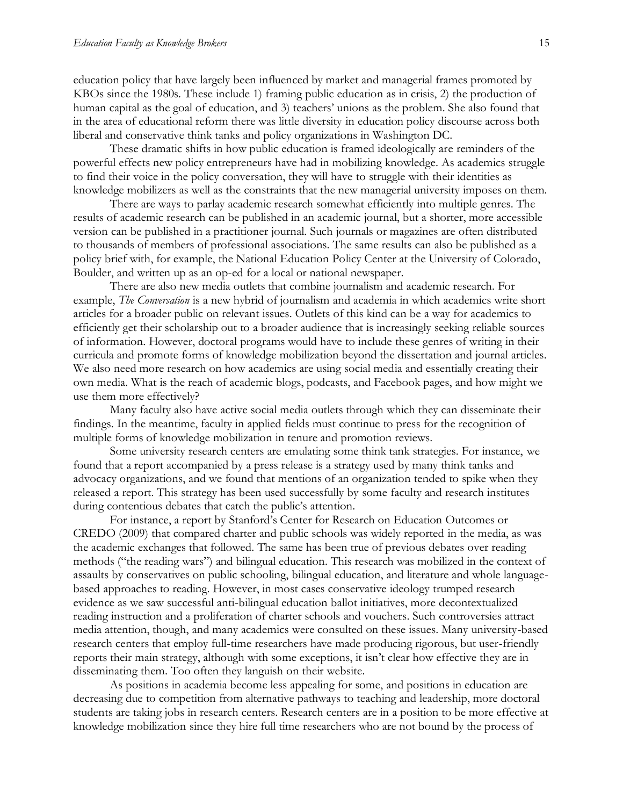education policy that have largely been influenced by market and managerial frames promoted by KBOs since the 1980s. These include 1) framing public education as in crisis, 2) the production of human capital as the goal of education, and 3) teachers' unions as the problem. She also found that in the area of educational reform there was little diversity in education policy discourse across both liberal and conservative think tanks and policy organizations in Washington DC.

These dramatic shifts in how public education is framed ideologically are reminders of the powerful effects new policy entrepreneurs have had in mobilizing knowledge. As academics struggle to find their voice in the policy conversation, they will have to struggle with their identities as knowledge mobilizers as well as the constraints that the new managerial university imposes on them.

There are ways to parlay academic research somewhat efficiently into multiple genres. The results of academic research can be published in an academic journal, but a shorter, more accessible version can be published in a practitioner journal. Such journals or magazines are often distributed to thousands of members of professional associations. The same results can also be published as a policy brief with, for example, the National Education Policy Center at the University of Colorado, Boulder, and written up as an op-ed for a local or national newspaper.

There are also new media outlets that combine journalism and academic research. For example, *The Conversation* is a new hybrid of journalism and academia in which academics write short articles for a broader public on relevant issues. Outlets of this kind can be a way for academics to efficiently get their scholarship out to a broader audience that is increasingly seeking reliable sources of information. However, doctoral programs would have to include these genres of writing in their curricula and promote forms of knowledge mobilization beyond the dissertation and journal articles. We also need more research on how academics are using social media and essentially creating their own media. What is the reach of academic blogs, podcasts, and Facebook pages, and how might we use them more effectively?

Many faculty also have active social media outlets through which they can disseminate their findings. In the meantime, faculty in applied fields must continue to press for the recognition of multiple forms of knowledge mobilization in tenure and promotion reviews.

Some university research centers are emulating some think tank strategies. For instance, we found that a report accompanied by a press release is a strategy used by many think tanks and advocacy organizations, and we found that mentions of an organization tended to spike when they released a report. This strategy has been used successfully by some faculty and research institutes during contentious debates that catch the public's attention.

For instance, a report by Stanford's Center for Research on Education Outcomes or CREDO (2009) that compared charter and public schools was widely reported in the media, as was the academic exchanges that followed. The same has been true of previous debates over reading methods ("the reading wars") and bilingual education. This research was mobilized in the context of assaults by conservatives on public schooling, bilingual education, and literature and whole languagebased approaches to reading. However, in most cases conservative ideology trumped research evidence as we saw successful anti-bilingual education ballot initiatives, more decontextualized reading instruction and a proliferation of charter schools and vouchers. Such controversies attract media attention, though, and many academics were consulted on these issues. Many university-based research centers that employ full-time researchers have made producing rigorous, but user-friendly reports their main strategy, although with some exceptions, it isn't clear how effective they are in disseminating them. Too often they languish on their website.

As positions in academia become less appealing for some, and positions in education are decreasing due to competition from alternative pathways to teaching and leadership, more doctoral students are taking jobs in research centers. Research centers are in a position to be more effective at knowledge mobilization since they hire full time researchers who are not bound by the process of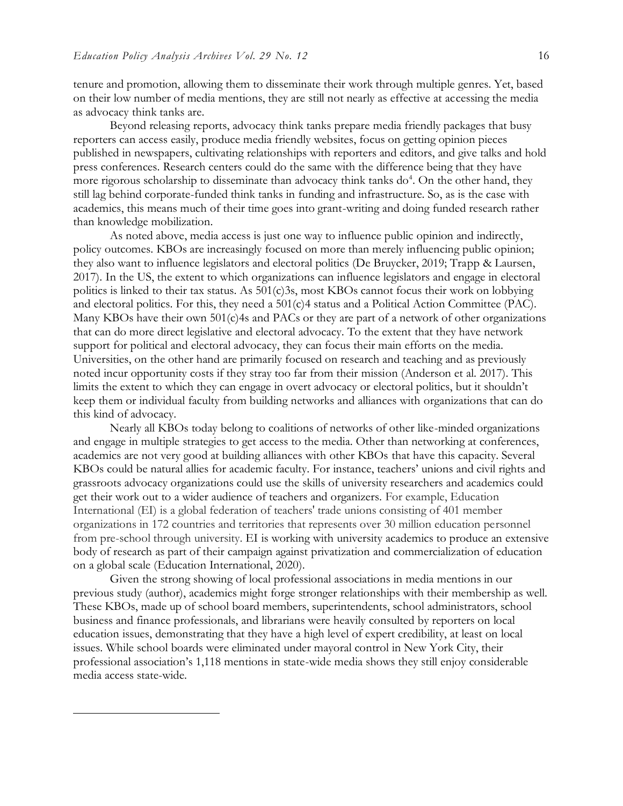$\overline{a}$ 

tenure and promotion, allowing them to disseminate their work through multiple genres. Yet, based on their low number of media mentions, they are still not nearly as effective at accessing the media as advocacy think tanks are.

Beyond releasing reports, advocacy think tanks prepare media friendly packages that busy reporters can access easily, produce media friendly websites, focus on getting opinion pieces published in newspapers, cultivating relationships with reporters and editors, and give talks and hold press conferences. Research centers could do the same with the difference being that they have more rigorous scholarship to disseminate than advocacy think tanks do<sup>4</sup>. On the other hand, they still lag behind corporate-funded think tanks in funding and infrastructure. So, as is the case with academics, this means much of their time goes into grant-writing and doing funded research rather than knowledge mobilization.

As noted above, media access is just one way to influence public opinion and indirectly, policy outcomes. KBOs are increasingly focused on more than merely influencing public opinion; they also want to influence legislators and electoral politics (De Bruycker, 2019; Trapp & Laursen, 2017). In the US, the extent to which organizations can influence legislators and engage in electoral politics is linked to their tax status. As 501(c)3s, most KBOs cannot focus their work on lobbying and electoral politics. For this, they need a 501(c)4 status and a Political Action Committee (PAC). Many KBOs have their own 501(c)4s and PACs or they are part of a network of other organizations that can do more direct legislative and electoral advocacy. To the extent that they have network support for political and electoral advocacy, they can focus their main efforts on the media. Universities, on the other hand are primarily focused on research and teaching and as previously noted incur opportunity costs if they stray too far from their mission (Anderson et al. 2017). This limits the extent to which they can engage in overt advocacy or electoral politics, but it shouldn't keep them or individual faculty from building networks and alliances with organizations that can do this kind of advocacy.

Nearly all KBOs today belong to coalitions of networks of other like-minded organizations and engage in multiple strategies to get access to the media. Other than networking at conferences, academics are not very good at building alliances with other KBOs that have this capacity. Several KBOs could be natural allies for academic faculty. For instance, teachers' unions and civil rights and grassroots advocacy organizations could use the skills of university researchers and academics could get their work out to a wider audience of teachers and organizers. For example, Education International (EI) is a global federation of teachers' trade unions consisting of 401 member organizations in 172 countries and territories that represents over 30 million education personnel from pre-school through university. EI is working with university academics to produce an extensive body of research as part of their campaign against privatization and commercialization of education on a global scale (Education International, 2020).

Given the strong showing of local professional associations in media mentions in our previous study (author), academics might forge stronger relationships with their membership as well. These KBOs, made up of school board members, superintendents, school administrators, school business and finance professionals, and librarians were heavily consulted by reporters on local education issues, demonstrating that they have a high level of expert credibility, at least on local issues. While school boards were eliminated under mayoral control in New York City, their professional association's 1,118 mentions in state-wide media shows they still enjoy considerable media access state-wide.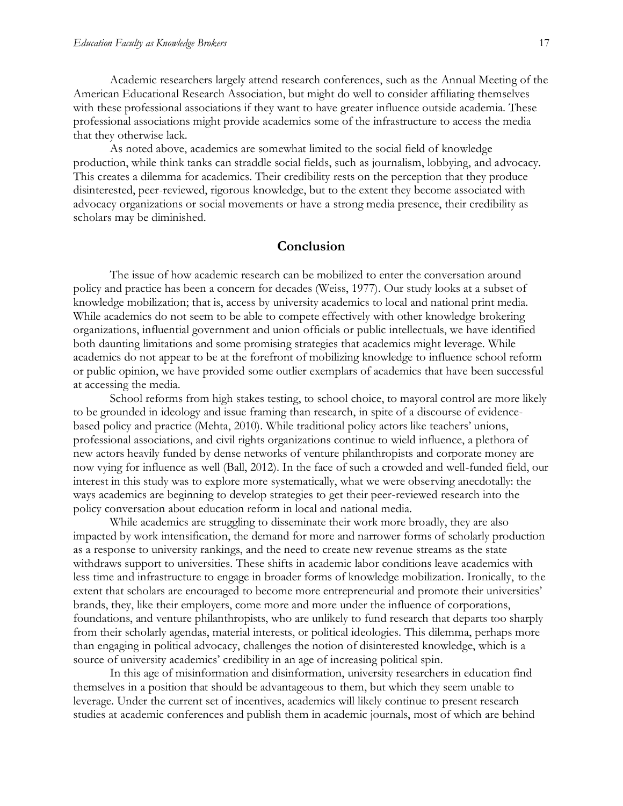Academic researchers largely attend research conferences, such as the Annual Meeting of the American Educational Research Association, but might do well to consider affiliating themselves with these professional associations if they want to have greater influence outside academia. These professional associations might provide academics some of the infrastructure to access the media that they otherwise lack.

As noted above, academics are somewhat limited to the social field of knowledge production, while think tanks can straddle social fields, such as journalism, lobbying, and advocacy. This creates a dilemma for academics. Their credibility rests on the perception that they produce disinterested, peer-reviewed, rigorous knowledge, but to the extent they become associated with advocacy organizations or social movements or have a strong media presence, their credibility as scholars may be diminished.

#### **Conclusion**

The issue of how academic research can be mobilized to enter the conversation around policy and practice has been a concern for decades (Weiss, 1977). Our study looks at a subset of knowledge mobilization; that is, access by university academics to local and national print media. While academics do not seem to be able to compete effectively with other knowledge brokering organizations, influential government and union officials or public intellectuals, we have identified both daunting limitations and some promising strategies that academics might leverage. While academics do not appear to be at the forefront of mobilizing knowledge to influence school reform or public opinion, we have provided some outlier exemplars of academics that have been successful at accessing the media.

School reforms from high stakes testing, to school choice, to mayoral control are more likely to be grounded in ideology and issue framing than research, in spite of a discourse of evidencebased policy and practice (Mehta, 2010). While traditional policy actors like teachers' unions, professional associations, and civil rights organizations continue to wield influence, a plethora of new actors heavily funded by dense networks of venture philanthropists and corporate money are now vying for influence as well (Ball, 2012). In the face of such a crowded and well-funded field, our interest in this study was to explore more systematically, what we were observing anecdotally: the ways academics are beginning to develop strategies to get their peer-reviewed research into the policy conversation about education reform in local and national media.

While academics are struggling to disseminate their work more broadly, they are also impacted by work intensification, the demand for more and narrower forms of scholarly production as a response to university rankings, and the need to create new revenue streams as the state withdraws support to universities. These shifts in academic labor conditions leave academics with less time and infrastructure to engage in broader forms of knowledge mobilization. Ironically, to the extent that scholars are encouraged to become more entrepreneurial and promote their universities' brands, they, like their employers, come more and more under the influence of corporations, foundations, and venture philanthropists, who are unlikely to fund research that departs too sharply from their scholarly agendas, material interests, or political ideologies. This dilemma, perhaps more than engaging in political advocacy, challenges the notion of disinterested knowledge, which is a source of university academics' credibility in an age of increasing political spin.

In this age of misinformation and disinformation, university researchers in education find themselves in a position that should be advantageous to them, but which they seem unable to leverage. Under the current set of incentives, academics will likely continue to present research studies at academic conferences and publish them in academic journals, most of which are behind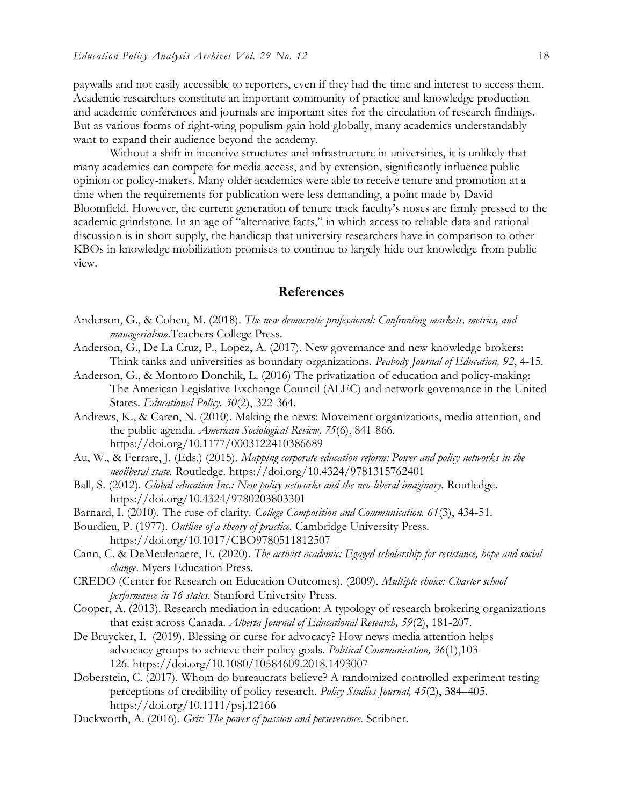paywalls and not easily accessible to reporters, even if they had the time and interest to access them. Academic researchers constitute an important community of practice and knowledge production and academic conferences and journals are important sites for the circulation of research findings. But as various forms of right-wing populism gain hold globally, many academics understandably want to expand their audience beyond the academy.

Without a shift in incentive structures and infrastructure in universities, it is unlikely that many academics can compete for media access, and by extension, significantly influence public opinion or policy-makers. Many older academics were able to receive tenure and promotion at a time when the requirements for publication were less demanding, a point made by David Bloomfield. However, the current generation of tenure track faculty's noses are firmly pressed to the academic grindstone. In an age of "alternative facts," in which access to reliable data and rational discussion is in short supply, the handicap that university researchers have in comparison to other KBOs in knowledge mobilization promises to continue to largely hide our knowledge from public view.

#### **References**

- Anderson, G., & Cohen, M. (2018). *The new democratic professional: Confronting markets, metrics, and managerialism.*Teachers College Press.
- Anderson, G., De La Cruz, P., Lopez, A. (2017). New governance and new knowledge brokers: Think tanks and universities as boundary organizations. *Peabody Journal of Education, 92*, 4-15.
- Anderson, G., & Montoro Donchik, L. (2016) The privatization of education and policy-making: The American Legislative Exchange Council (ALEC) and network governance in the United States. *Educational Policy. 30*(2), 322-364.
- Andrews, K., & Caren, N. (2010). Making the news: Movement organizations, media attention, and the public agenda. *American Sociological Review, 75*(6), 841-866. https://doi.org/10.1177/0003122410386689
- Au, W., & Ferrare, J. (Eds.) (2015). *Mapping corporate education reform: Power and policy networks in the neoliberal state.* Routledge. https://doi.org/10.4324/9781315762401
- Ball, S. (2012). *Global education Inc.: New policy networks and the neo-liberal imaginary.* Routledge. https://doi.org/10.4324/9780203803301
- Barnard, I. (2010). The ruse of clarity. *College Composition and Communication. 61*(3), 434-51.
- Bourdieu, P. (1977). *Outline of a theory of practice.* Cambridge University Press. https://doi.org/10.1017/CBO9780511812507
- Cann, C. & DeMeulenaere, E. (2020). *The activist academic: Egaged scholarship for resistance, hope and social change*. Myers Education Press.
- CREDO (Center for Research on Education Outcomes). (2009). *Multiple choice: Charter school performance in 16 states.* Stanford University Press.
- Cooper, A. (2013). Research mediation in education: A typology of research brokering organizations that exist across Canada. *Alberta Journal of Educational Research, 59*(2), 181-207.
- De Bruycker, I. (2019). Blessing or curse for advocacy? How news media attention helps advocacy groups to achieve their policy goals. *Political Communication, 36*(1),103- 126. https://doi.org/10.1080/10584609.2018.1493007
- Doberstein, C. (2017). Whom do bureaucrats believe? A randomized controlled experiment testing perceptions of credibility of policy research. *Policy Studies Journal, 45*(2), 384–405. https://doi.org/10.1111/psj.12166
- Duckworth, A. (2016). *Grit: The power of passion and perseverance.* Scribner.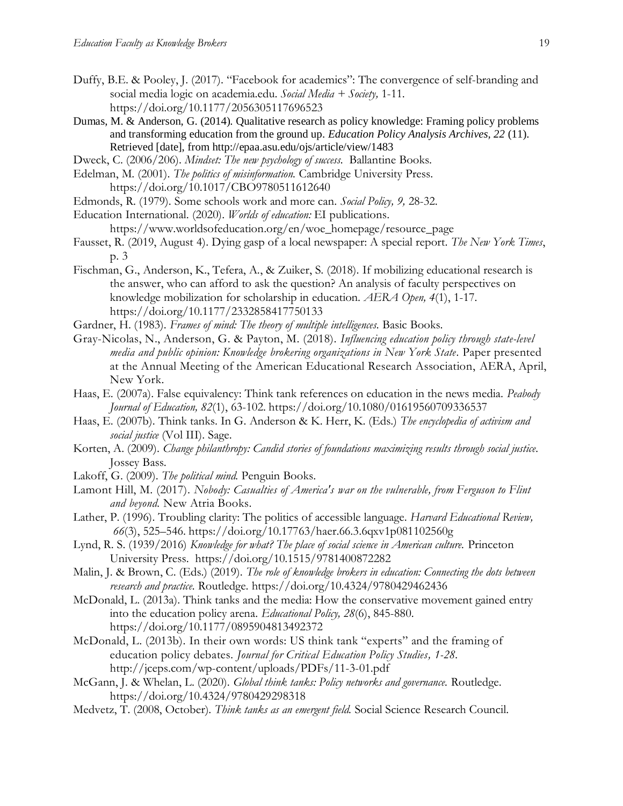- Duffy, B.E. & Pooley, J. (2017). "Facebook for academics": The convergence of self-branding and social media logic on academia.edu. *Social Media + Society,* 1-11. https://doi.org/10.1177/2056305117696523
- Dumas, M. & Anderson, G. (2014). Qualitative research as policy knowledge: Framing policy problems and transforming education from the ground up. *Education Policy Analysis Archives, 22* (11). Retrieved [date], from<http://epaa.asu.edu/ojs/article/view/1483>
- Dweck, C. (2006/206). *Mindset: The new psychology of success.* Ballantine Books.
- Edelman, M. (2001). *The politics of misinformation.* Cambridge University Press. https://doi.org/10.1017/CBO9780511612640
- Edmonds, R. (1979). Some schools work and more can. *Social Policy, 9,* 28-32.
- Education International. (2020). *Worlds of education:* EI publications.

[https://www.worldsofeducation.org/en/woe\\_homepage/resource\\_page](https://www.worldsofeducation.org/en/woe_homepage/resource_page)

- Fausset, R. (2019, August 4). Dying gasp of a local newspaper: A special report. *The New York Times*, p. 3
- Fischman, G., Anderson, K., Tefera, A., & Zuiker, S. (2018). If mobilizing educational research is the answer, who can afford to ask the question? An analysis of faculty perspectives on knowledge mobilization for scholarship in education. *AERA Open, 4*(1), 1-17. https://doi.org/10.1177/2332858417750133
- Gardner, H. (1983). *Frames of mind: The theory of multiple intelligences.* Basic Books.
- Gray-Nicolas, N., Anderson, G. & Payton, M. (2018). *Influencing education policy through state-level media and public opinion: Knowledge brokering organizations in New York State.* Paper presented at the Annual Meeting of the American Educational Research Association, AERA, April, New York.
- Haas, E. (2007a). False equivalency: Think tank references on education in the news media. *Peabody Journal of Education, 82*(1), 63-102. https://doi.org/10.1080/01619560709336537
- Haas, E. (2007b). Think tanks. In G. Anderson & K. Herr, K. (Eds.) *The encyclopedia of activism and social justice* (Vol III). Sage.
- Korten, A. (2009). *Change philanthropy: Candid stories of foundations maximizing results through social justice.* Jossey Bass.
- Lakoff, G. (2009). *The political mind.* Penguin Books.
- Lamont Hill, M. (2017). *Nobody: Casualties of America's war on the vulnerable, from Ferguson to Flint and beyond.* New Atria Books.
- Lather, P. (1996). Troubling clarity: The politics of accessible language. *Harvard Educational Review, 66*(3), 525–546. https://doi.org/10.17763/haer.66.3.6qxv1p081102560g
- Lynd, R. S. (1939/2016) *Knowledge for what? The place of social science in American culture.* Princeton University Press. https://doi.org/10.1515/9781400872282
- Malin, J. & Brown, C. (Eds.) (2019). *The role of knowledge brokers in education: Connecting the dots between research and practice.* Routledge. https://doi.org/10.4324/9780429462436
- McDonald, L. (2013a). Think tanks and the media: How the conservative movement gained entry into the education policy arena. *Educational Policy, 28*(6), 845-880. https://doi.org/10.1177/0895904813492372
- McDonald, L. (2013b). [In their own words: US think tank "experts" and the framing of](http://jceps.com/wp-content/uploads/PDFs/11-3-01.pdf)  [education policy debates](http://jceps.com/wp-content/uploads/PDFs/11-3-01.pdf)*. Journal for Critical Education Policy Studies, 1-28.* <http://jceps.com/wp-content/uploads/PDFs/11-3-01.pdf>
- McGann, J. & Whelan, L. (2020). *Global think tanks: Policy networks and governance.* Routledge. https://doi.org/10.4324/9780429298318
- Medvetz, T. (2008, October). *Think tanks as an emergent field.* Social Science Research Council.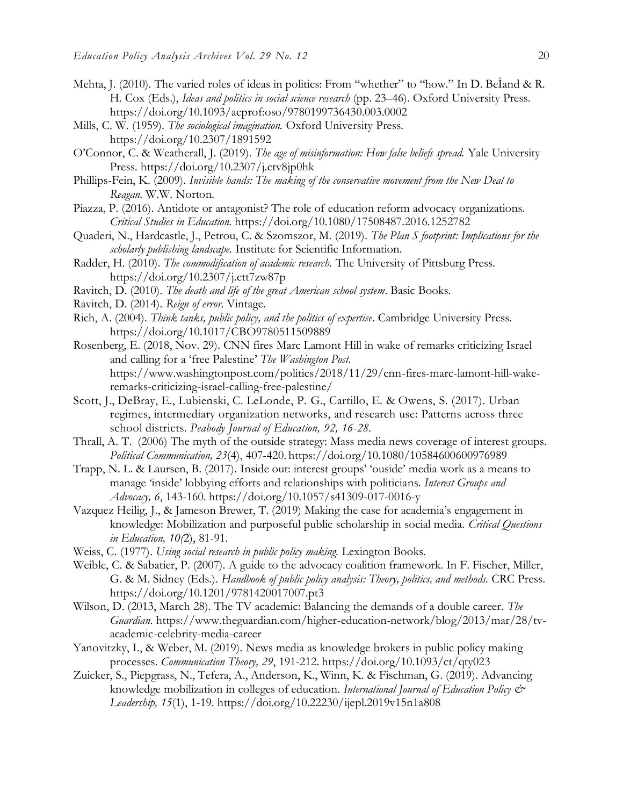- Mehta, J. (2010). The varied roles of ideas in politics: From "whether" to "how." In D. BeÌand & R. H. Cox (Eds.), *Ideas and politics in social science research* (pp. 23–46). Oxford University Press. https://doi.org/10.1093/acprof:oso/9780199736430.003.0002
- Mills, C. W. (1959). *The sociological imagination.* Oxford University Press. https://doi.org/10.2307/1891592
- O'Connor, C. & Weatherall, J. (2019). *The age of misinformation: How false beliefs spread.* Yale University Press. https://doi.org/10.2307/j.ctv8jp0hk
- Phillips-Fein, K. (2009). *Invisible hands: The making of the conservative movement from the New Deal to Reagan.* W.W. Norton.
- Piazza, P. (2016). Antidote or antagonist? The role of education reform advocacy organizations. *Critical Studies in Education.* https://doi.org/10.1080/17508487.2016.1252782
- Quaderi, N., Hardcastle, J., Petrou, C. & Szomszor, M. (2019). *The Plan S footprint: Implications for the scholarly publishing landscape.* Institute for Scientific Information.
- Radder, H. (2010). *The commodification of academic research.* The University of Pittsburg Press. https://doi.org/10.2307/j.ctt7zw87p
- Ravitch, D. (2010). *The death and life of the great American school system*. Basic Books.
- Ravitch, D. (2014). *Reign of error.* Vintage.
- Rich, A. (2004). *Think tanks, public policy, and the politics of expertise*. Cambridge University Press. https://doi.org/10.1017/CBO9780511509889
- Rosenberg, E. (2018, Nov. 29). CNN fires Marc Lamont Hill in wake of remarks criticizing Israel and calling for a 'free Palestine' *The Washington Post.*  [https://www.washingtonpost.com/politics/2018/11/29/cnn-fires-marc-lamont-hill-wake](https://www.washingtonpost.com/politics/2018/11/29/cnn-fires-marc-lamont-hill-wake-remarks-criticizing-israel-calling-free-palestine/)[remarks-criticizing-israel-calling-free-palestine/](https://www.washingtonpost.com/politics/2018/11/29/cnn-fires-marc-lamont-hill-wake-remarks-criticizing-israel-calling-free-palestine/)
- Scott, J., DeBray, E., Lubienski, C. LeLonde, P. G., Cartillo, E. & Owens, S. (2017). Urban regimes, intermediary organization networks, and research use: Patterns across three school districts. *Peabody Journal of Education, 92, 16-28.*
- Thrall, A. T. (2006) The myth of the outside strategy: Mass media news coverage of interest groups. *Political Communication, 23*(4), 407-420. https://doi.org/10.1080/10584600600976989
- Trapp, N. L. & Laursen, B. (2017). Inside out: interest groups' 'ouside' media work as a means to manage 'inside' lobbying efforts and relationships with politicians. *Interest Groups and Advocacy, 6*, 143-160. https://doi.org/10.1057/s41309-017-0016-y
- Vazquez Heilig, J., & Jameson Brewer, T. (2019) Making the case for academia's engagement in knowledge: Mobilization and purposeful public scholarship in social media. *Critical Questions in Education, 10(*2), 81-91.
- Weiss, C. (1977). *Using social research in public policy making.* Lexington Books.
- Weible, C. & Sabatier, P. (2007). A guide to the advocacy coalition framework. In F. Fischer, Miller, G. & M. Sidney (Eds.). *Handbook of public policy analysis: Theory, politics, and methods.* CRC Press. https://doi.org/10.1201/9781420017007.pt3
- Wilson, D. (2013, March 28). The TV academic: Balancing the demands of a double career. *The Guardian*. [https://www.theguardian.com/higher-education-network/blog/2013/mar/28/tv](https://www.theguardian.com/higher-education-network/blog/2013/mar/28/tv-academic-celebrity-media-career)[academic-celebrity-media-career](https://www.theguardian.com/higher-education-network/blog/2013/mar/28/tv-academic-celebrity-media-career)
- Yanovitzky, I., & Weber, M. (2019). News media as knowledge brokers in public policy making processes. *Communication Theory, 29*, 191-212. https://doi.org/10.1093/ct/qty023
- Zuicker, S., Piepgrass, N., Tefera, A., Anderson, K., Winn, K. & Fischman, G. (2019). Advancing knowledge mobilization in colleges of education. *International Journal of Education Policy & Leadership, 15*(1), 1-19. https://doi.org/10.22230/ijepl.2019v15n1a808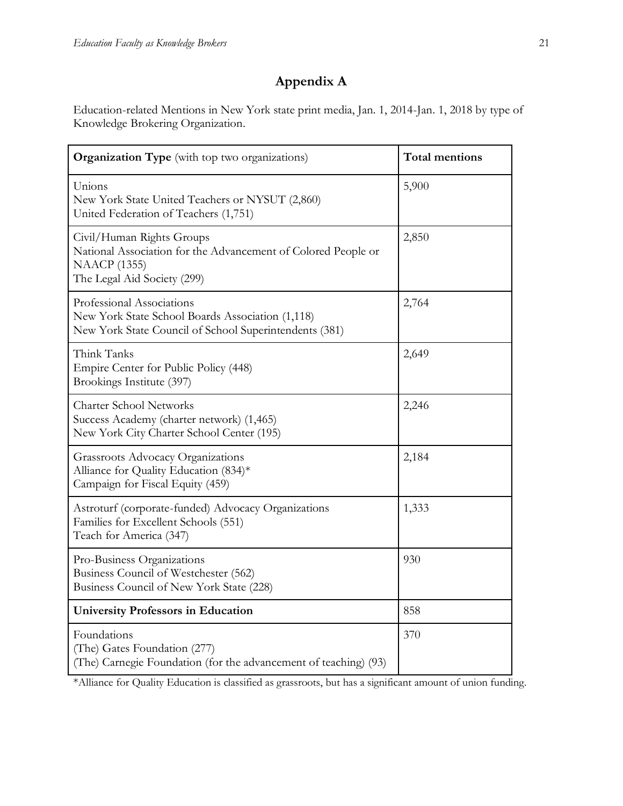# **Appendix A**

Education-related Mentions in New York state print media, Jan. 1, 2014-Jan. 1, 2018 by type of Knowledge Brokering Organization.

| <b>Organization Type</b> (with top two organizations)                                                                                            | <b>Total mentions</b> |
|--------------------------------------------------------------------------------------------------------------------------------------------------|-----------------------|
| Unions<br>New York State United Teachers or NYSUT (2,860)<br>United Federation of Teachers (1,751)                                               | 5,900                 |
| Civil/Human Rights Groups<br>National Association for the Advancement of Colored People or<br><b>NAACP</b> (1355)<br>The Legal Aid Society (299) | 2,850                 |
| Professional Associations<br>New York State School Boards Association (1,118)<br>New York State Council of School Superintendents (381)          | 2,764                 |
| Think Tanks<br>Empire Center for Public Policy (448)<br>Brookings Institute (397)                                                                | 2,649                 |
| <b>Charter School Networks</b><br>Success Academy (charter network) (1,465)<br>New York City Charter School Center (195)                         | 2,246                 |
| Grassroots Advocacy Organizations<br>Alliance for Quality Education (834)*<br>Campaign for Fiscal Equity (459)                                   | 2,184                 |
| Astroturf (corporate-funded) Advocacy Organizations<br>Families for Excellent Schools (551)<br>Teach for America (347)                           | 1,333                 |
| Pro-Business Organizations<br>Business Council of Westchester (562)<br>Business Council of New York State (228)                                  | 930                   |
| <b>University Professors in Education</b>                                                                                                        | 858                   |
| Foundations<br>(The) Gates Foundation (277)<br>(The) Carnegie Foundation (for the advancement of teaching) (93)                                  | 370                   |

\*Alliance for Quality Education is classified as grassroots, but has a significant amount of union funding.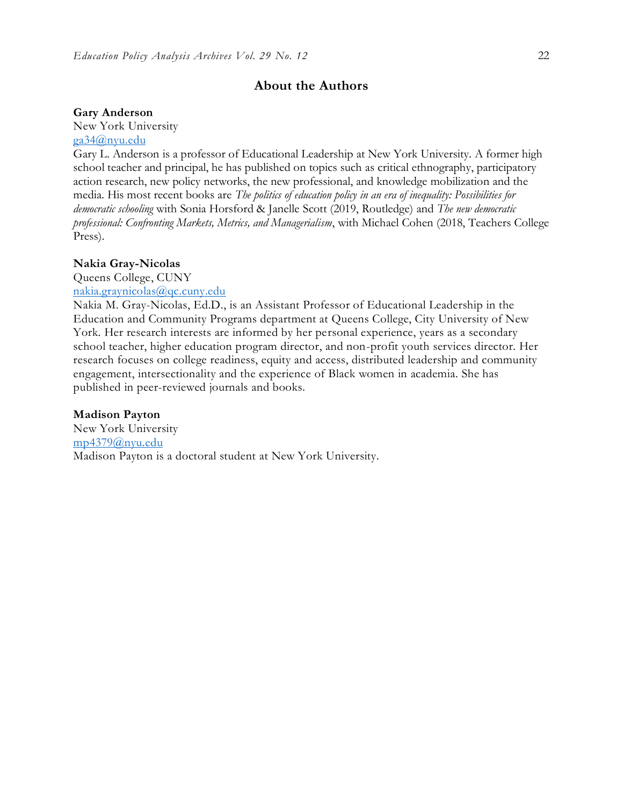#### **About the Authors**

#### **Gary Anderson**

New York University [ga34@nyu.edu](mailto:ga34@nyu.edu)

Gary L. Anderson is a professor of Educational Leadership at New York University. A former high school teacher and principal, he has published on topics such as critical ethnography, participatory action research, new policy networks, the new professional, and knowledge mobilization and the media. His most recent books are *The politics of education policy in an era of inequality: Possibilities for democratic schooling* with Sonia Horsford & Janelle Scott (2019, Routledge) and *The new democratic professional: Confronting Markets, Metrics, and Managerialism*, with Michael Cohen (2018, Teachers College Press).

#### **Nakia Gray-Nicolas**

Queens College, CUNY

[nakia.graynicolas@qc.cuny.edu](mailto:nakia.graynicolas@qc.cuny.edu)

Nakia M. Gray-Nicolas, Ed.D., is an Assistant Professor of Educational Leadership in the Education and Community Programs department at Queens College, City University of New York. Her research interests are informed by her personal experience, years as a secondary school teacher, higher education program director, and non-profit youth services director. Her research focuses on college readiness, equity and access, distributed leadership and community engagement, intersectionality and the experience of Black women in academia. She has published in peer-reviewed journals and books.

#### **Madison Payton**

New York University [mp4379@nyu.edu](mailto:mp4379@nyu.edu) Madison Payton is a doctoral student at New York University.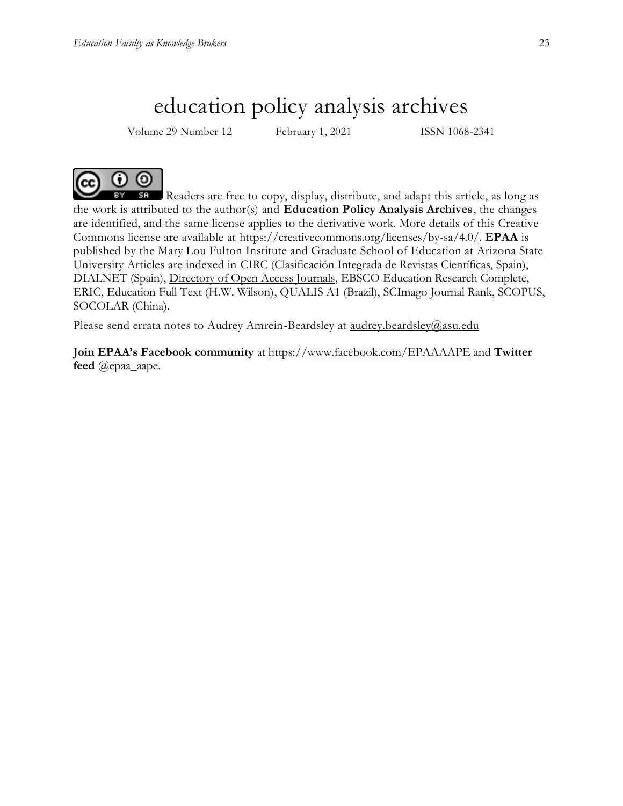# education policy analysis archives

Volume 29 Number 12 February 1, 2021 ISSN 1068-2341



Readers are free to copy, display, distribute, and adapt this article, as long as the work is attributed to the author(s) and **Education Policy Analysis Archives**, the changes are identified, and the same license applies to the derivative work. More details of this Creative Commons license are available at [https://creativecommons.org/licenses/by-sa/4.0/.](https://creativecommons.org/licenses/by-sa/4.0/) **EPAA** is published by the Mary Lou Fulton Institute and Graduate School of Education at Arizona State University Articles are indexed in CIRC (Clasificación Integrada de Revistas Científicas, Spain), DIALNET (Spain), [Directory of Open Access Journals,](http://www.doaj.org/) EBSCO Education Research Complete, ERIC, Education Full Text (H.W. Wilson), QUALIS A1 (Brazil), SCImago Journal Rank, SCOPUS, SOCOLAR (China).

Please send errata notes to Audrey Amrein-Beardsley at [audrey.beardsley@asu.edu](mailto:audrey.beardsley@asu.edu)

**Join EPAA's Facebook community** at<https://www.facebook.com/EPAAAAPE> and **Twitter feed** @epaa\_aape.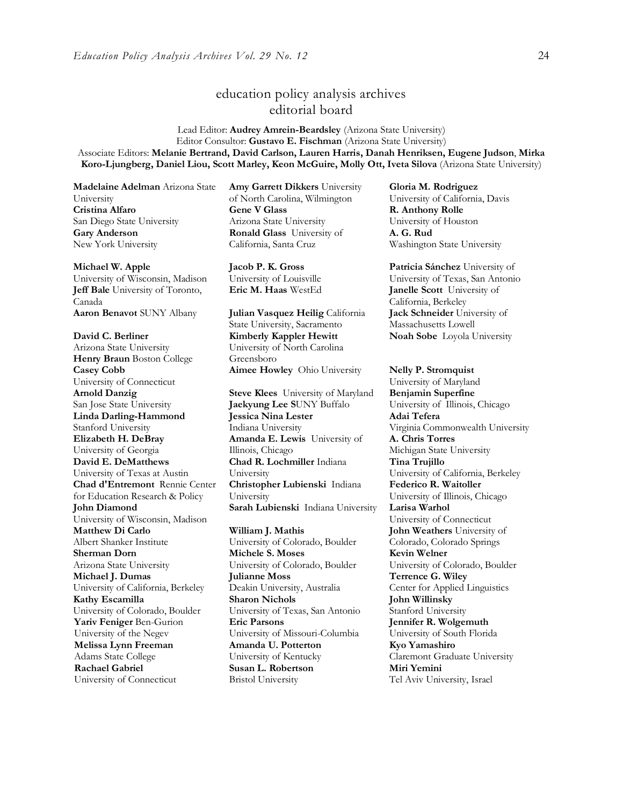# education policy analysis archives editorial board

Lead Editor: **Audrey Amrein-Beardsley** (Arizona State University) Editor Consultor: **Gustavo E. Fischman** (Arizona State University) Associate Editors: **Melanie Bertrand, David Carlson, Lauren Harris, Danah Henriksen, Eugene Judson**, **Mirka Koro-Ljungberg, Daniel Liou, Scott Marley, Keon McGuire, Molly Ott, Iveta Silova** (Arizona State University)

**Madelaine Adelman** Arizona State University **Cristina Alfaro**  San Diego State University **Gary Anderson** New York University

**Michael W. Apple** 

University of Wisconsin, Madison **Jeff Bale** University of Toronto, Canada<br>**Aaron Benavot** SUNY Albany

**David C. Berliner**  Arizona State University **Henry Braun** Boston College **Casey Cobb** University of Connecticut **Arnold Danzig** San Jose State University **Linda Darling-Hammond**  Stanford University **Elizabeth H. DeBray**  University of Georgia **David E. DeMatthews** University of Texas at Austin **Chad d'Entremont** Rennie Center for Education Research & Policy **John Diamond** University of Wisconsin, Madison **Matthew Di Carlo**  Albert Shanker Institute **Sherman Dorn** Arizona State University **Michael J. Dumas**  University of California, Berkeley **Kathy Escamilla**  University of Colorado, Boulder **Yariv Feniger** Ben-Gurion University of the Negev **Melissa Lynn Freeman**  Adams State College **Rachael Gabriel** University of Connecticut

**Amy Garrett Dikkers** University of North Carolina, Wilmington **Gene V Glass**  Arizona State University **Ronald Glass** University of California, Santa Cruz

**Jacob P. K. Gross**  University of Louisville

**Aaron Benavot** SUNY Albany **Julian Vasquez Heilig** California State University, Sacramento **Kimberly Kappler Hewitt** University of North Carolina Greensboro **Aimee Howley** Ohio University **Nelly P. Stromquist** 

**Steve Klees** University of Maryland **Jaekyung Lee S**UNY Buffalo **Jessica Nina Lester** Indiana University **Amanda E. Lewis** University of Illinois, Chicago **Chad R. Lochmiller** Indiana University **Christopher Lubienski** Indiana University **Sarah Lubienski** Indiana University **Larisa Warhol**

**William J. Mathis**  University of Colorado, Boulder **Michele S. Moses**  University of Colorado, Boulder **Julianne Moss** Deakin University, Australia **Sharon Nichols**  University of Texas, San Antonio **Eric Parsons** University of Missouri-Columbia **Amanda U. Potterton** University of Kentucky **Susan L. Robertson** Bristol University

**Gloria M. Rodriguez** University of California, Davis **R. Anthony Rolle**  University of Houston **A. G. Rud**  Washington State University

**Patricia Sánchez** University of University of Texas, San Antonio **Eric M. Haas** WestEd **Janelle Scott** University of California, Berkeley **Jack Schneider** University of Massachusetts Lowell **Noah Sobe** Loyola University

> University of Maryland **Benjamin Superfine**  University of Illinois, Chicago **Adai Tefera**  Virginia Commonwealth University **A. Chris Torres** Michigan State University **Tina Trujillo**  University of California, Berkeley **Federico R. Waitoller**  University of Illinois, Chicago University of Connecticut **John Weathers** University of Colorado, Colorado Springs **Kevin Welner** University of Colorado, Boulder **Terrence G. Wiley**  Center for Applied Linguistics **John Willinsky**  Stanford University **Jennifer R. Wolgemuth**  University of South Florida **Kyo Yamashiro**  Claremont Graduate University **Miri Yemini** Tel Aviv University, Israel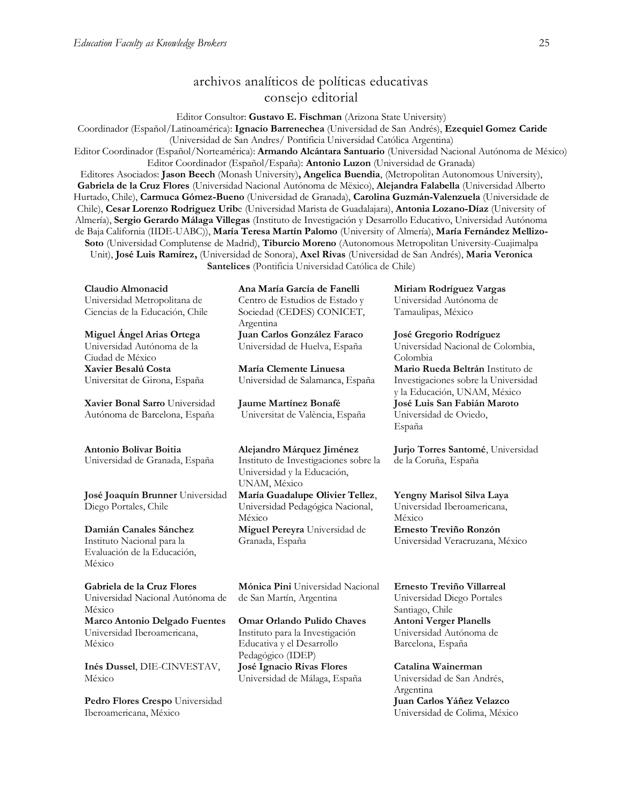### archivos analíticos de políticas educativas consejo editorial

Editor Consultor: **Gustavo E. Fischman** (Arizona State University)

Coordinador (Español/Latinoamérica): **Ignacio Barrenechea** (Universidad de San Andrés), **Ezequiel Gomez Caride** (Universidad de San Andres/ Pontificia Universidad Católica Argentina)

Editor Coordinador (Español/Norteamérica): **Armando Alcántara Santuario** (Universidad Nacional Autónoma de México) Editor Coordinador (Español/España): **Antonio Luzon** (Universidad de Granada)

Editores Asociados: **Jason Beech** (Monash University)**, Angelica Buendia**, (Metropolitan Autonomous University), **Gabriela de la Cruz Flores** (Universidad Nacional Autónoma de Mëxico), **Alejandra Falabella** (Universidad Alberto Hurtado, Chile), **Carmuca Gómez-Bueno** (Universidad de Granada), **Carolina Guzmán-Valenzuela** (Universidade de Chile), **Cesar Lorenzo Rodriguez Urib**e (Universidad Marista de Guadalajara), **Antonia Lozano-Díaz** (University of Almería), **Sergio Gerardo Málaga Villegas** (Instituto de Investigación y Desarrollo Educativo, Universidad Autónoma de Baja California (IIDE-UABC)), **María Teresa Martín Palomo** (University of Almería), **María Fernández Mellizo-Soto** (Universidad Complutense de Madrid), **Tiburcio Moreno** (Autonomous Metropolitan University-Cuajimalpa Unit), **José Luis Ramírez,** (Universidad de Sonora), **Axel Rivas** (Universidad de San Andrés), **Maria Veronica Santelices** (Pontificia Universidad Católica de Chile)

**Claudio Almonacid** Universidad Metropolitana de Ciencias de la Educación, Chile

**Miguel Ángel Arias Ortega**  Universidad Autónoma de la Ciudad de México **Xavier Besalú Costa**  Universitat de Girona, España

**[Xavier Bonal](javascript:openRTWindow() Sarro** Universidad Autónoma de Barcelona, España

#### **[Antonio Bolívar](javascript:openRTWindow() Boitia**

Universidad de Granada, España

**[José Joaquín Brunner](javascript:openRTWindow()** Universidad Diego Portales, Chile

**[Damián Canales Sánchez](javascript:openRTWindow()** Instituto Nacional para la Evaluación de la Educación, México

**Gabriela de la Cruz Flores** Universidad Nacional Autónoma de México **[Marco Antonio Delgado Fuentes](javascript:openRTWindow()** Universidad Iberoamericana, México

**[Inés Dussel](javascript:openRTWindow()**, DIE-CINVESTAV, México

**[Pedro Flores Crespo](javascript:openRTWindow()** Universidad Iberoamericana, México

**Ana María García de Fanelli**  Centro de Estudios de Estado y Sociedad (CEDES) CONICET, Argentina **Juan Carlos González Faraco**  Universidad de Huelva, España

**María Clemente Linuesa**  Universidad de Salamanca, España

**Jaume Martínez Bonafé** Universitat de València, España

**Alejandro Márquez Jiménez**  Instituto de Investigaciones sobre la Universidad y la Educación, UNAM, México

**María Guadalupe Olivier Tellez**, Universidad Pedagógica Nacional, México **[Miguel Pereyra](javascript:openRTWindow()** Universidad de Granada, España

**[Mónica Pini](javascript:openRTWindow()** Universidad Nacional de San Martín, Argentina

**Omar Orlando Pulido Chaves** Instituto para la Investigación Educativa y el Desarrollo Pedagógico (IDEP) **José Ignacio Rivas Flores** Universidad de Málaga, España

**[Miriam Rodríguez Vargas](javascript:openRTWindow()** Universidad Autónoma de Tamaulipas, México

**José Gregorio Rodríguez**  Universidad Nacional de Colombia, Colombia **[Mario Rueda Beltrán](javascript:openRTWindow()** Instituto de Investigaciones sobre la Universidad y la Educación, UNAM, México **José Luis San Fabián Maroto**  Universidad de Oviedo, España

**[Jurjo Torres Santomé](javascript:openRTWindow()**, Universidad de la Coruña, España

**[Yengny Marisol Silva Laya](javascript:openRTWindow()** Universidad Iberoamericana, México **Ernesto Treviño Ronzón** Universidad Veracruzana, México

**[Ernesto Treviño](javascript:openRTWindow() Villarreal** Universidad Diego Portales Santiago, Chile **[Antoni Verger Planells](javascript:openRTWindow()** Universidad Autónoma de Barcelona, España

**[Catalina Wainerman](javascript:openRTWindow()** Universidad de San Andrés, Argentina **Juan Carlos Yáñez Velazco** Universidad de Colima, México